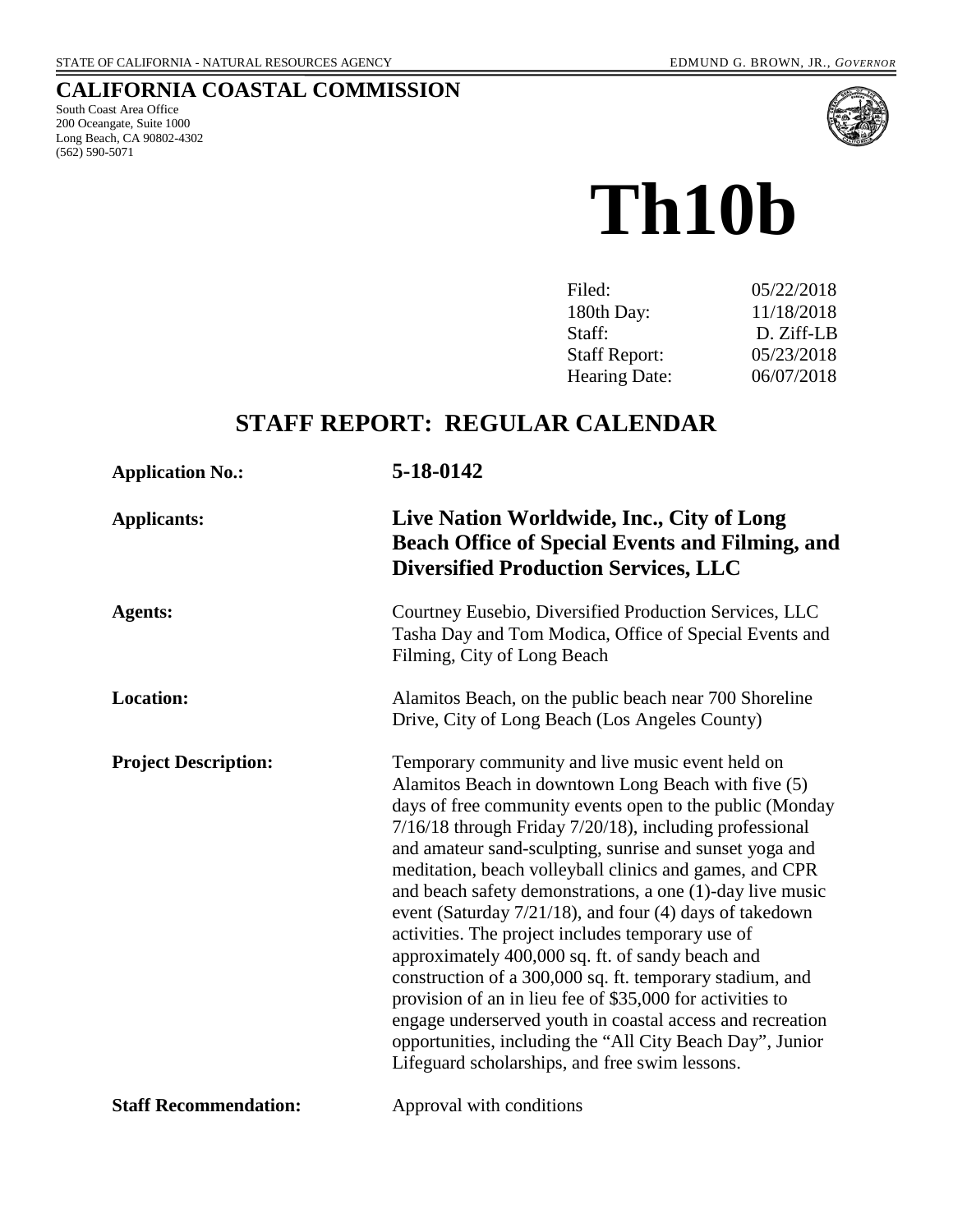## **CALIFORNIA COASTAL COMMISSION**

South Coast Area Office 200 Oceangate, Suite 1000 Long Beach, CA 90802-4302 (562) 590-5071



# **Th10b**

| Filed:               | 05/22/2018 |
|----------------------|------------|
| 180th Day:           | 11/18/2018 |
| Staff:               | D. Ziff-LB |
| <b>Staff Report:</b> | 05/23/2018 |
| <b>Hearing Date:</b> | 06/07/2018 |
|                      |            |

## **STAFF REPORT: REGULAR CALENDAR**

| <b>Application No.:</b>      | 5-18-0142                                                                                                                                                                                                                                                                                                                                                                                                                                                                                                                                                                                                                                                                                                                                                                                                                                                                                  |
|------------------------------|--------------------------------------------------------------------------------------------------------------------------------------------------------------------------------------------------------------------------------------------------------------------------------------------------------------------------------------------------------------------------------------------------------------------------------------------------------------------------------------------------------------------------------------------------------------------------------------------------------------------------------------------------------------------------------------------------------------------------------------------------------------------------------------------------------------------------------------------------------------------------------------------|
| <b>Applicants:</b>           | Live Nation Worldwide, Inc., City of Long<br><b>Beach Office of Special Events and Filming, and</b><br><b>Diversified Production Services, LLC</b>                                                                                                                                                                                                                                                                                                                                                                                                                                                                                                                                                                                                                                                                                                                                         |
| <b>Agents:</b>               | Courtney Eusebio, Diversified Production Services, LLC<br>Tasha Day and Tom Modica, Office of Special Events and<br>Filming, City of Long Beach                                                                                                                                                                                                                                                                                                                                                                                                                                                                                                                                                                                                                                                                                                                                            |
| <b>Location:</b>             | Alamitos Beach, on the public beach near 700 Shoreline<br>Drive, City of Long Beach (Los Angeles County)                                                                                                                                                                                                                                                                                                                                                                                                                                                                                                                                                                                                                                                                                                                                                                                   |
| <b>Project Description:</b>  | Temporary community and live music event held on<br>Alamitos Beach in downtown Long Beach with five (5)<br>days of free community events open to the public (Monday<br>7/16/18 through Friday 7/20/18), including professional<br>and amateur sand-sculpting, sunrise and sunset yoga and<br>meditation, beach volleyball clinics and games, and CPR<br>and beach safety demonstrations, a one (1)-day live music<br>event (Saturday 7/21/18), and four (4) days of takedown<br>activities. The project includes temporary use of<br>approximately 400,000 sq. ft. of sandy beach and<br>construction of a 300,000 sq. ft. temporary stadium, and<br>provision of an in lieu fee of \$35,000 for activities to<br>engage underserved youth in coastal access and recreation<br>opportunities, including the "All City Beach Day", Junior<br>Lifeguard scholarships, and free swim lessons. |
| <b>Staff Recommendation:</b> | Approval with conditions                                                                                                                                                                                                                                                                                                                                                                                                                                                                                                                                                                                                                                                                                                                                                                                                                                                                   |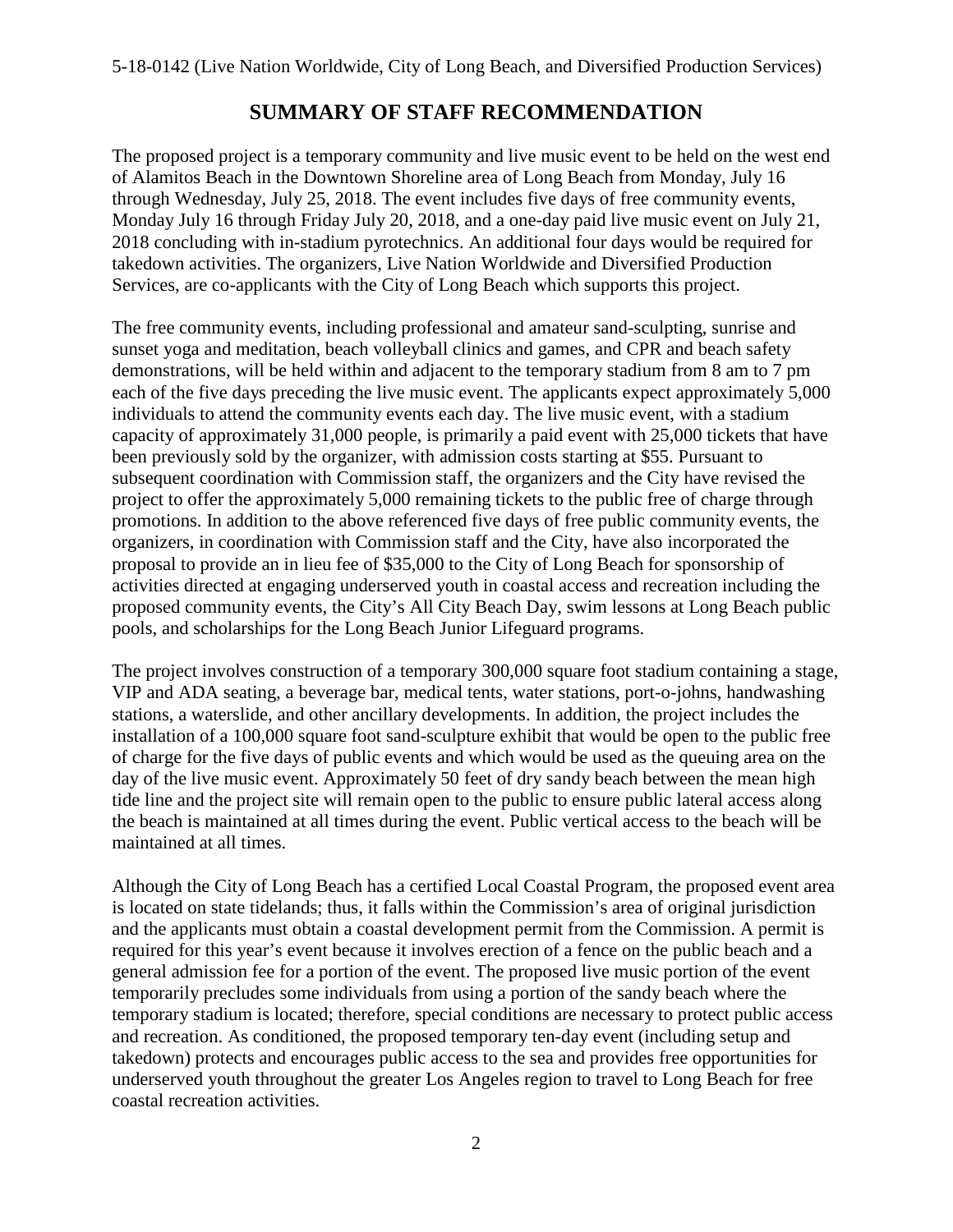## **SUMMARY OF STAFF RECOMMENDATION**

The proposed project is a temporary community and live music event to be held on the west end of Alamitos Beach in the Downtown Shoreline area of Long Beach from Monday, July 16 through Wednesday, July 25, 2018. The event includes five days of free community events, Monday July 16 through Friday July 20, 2018, and a one-day paid live music event on July 21, 2018 concluding with in-stadium pyrotechnics. An additional four days would be required for takedown activities. The organizers, Live Nation Worldwide and Diversified Production Services, are co-applicants with the City of Long Beach which supports this project.

The free community events, including professional and amateur sand-sculpting, sunrise and sunset yoga and meditation, beach volleyball clinics and games, and CPR and beach safety demonstrations, will be held within and adjacent to the temporary stadium from 8 am to 7 pm each of the five days preceding the live music event. The applicants expect approximately 5,000 individuals to attend the community events each day. The live music event, with a stadium capacity of approximately 31,000 people, is primarily a paid event with 25,000 tickets that have been previously sold by the organizer, with admission costs starting at \$55. Pursuant to subsequent coordination with Commission staff, the organizers and the City have revised the project to offer the approximately 5,000 remaining tickets to the public free of charge through promotions. In addition to the above referenced five days of free public community events, the organizers, in coordination with Commission staff and the City, have also incorporated the proposal to provide an in lieu fee of \$35,000 to the City of Long Beach for sponsorship of activities directed at engaging underserved youth in coastal access and recreation including the proposed community events, the City's All City Beach Day, swim lessons at Long Beach public pools, and scholarships for the Long Beach Junior Lifeguard programs.

The project involves construction of a temporary 300,000 square foot stadium containing a stage, VIP and ADA seating, a beverage bar, medical tents, water stations, port-o-johns, handwashing stations, a waterslide, and other ancillary developments. In addition, the project includes the installation of a 100,000 square foot sand-sculpture exhibit that would be open to the public free of charge for the five days of public events and which would be used as the queuing area on the day of the live music event. Approximately 50 feet of dry sandy beach between the mean high tide line and the project site will remain open to the public to ensure public lateral access along the beach is maintained at all times during the event. Public vertical access to the beach will be maintained at all times.

Although the City of Long Beach has a certified Local Coastal Program, the proposed event area is located on state tidelands; thus, it falls within the Commission's area of original jurisdiction and the applicants must obtain a coastal development permit from the Commission. A permit is required for this year's event because it involves erection of a fence on the public beach and a general admission fee for a portion of the event. The proposed live music portion of the event temporarily precludes some individuals from using a portion of the sandy beach where the temporary stadium is located; therefore, special conditions are necessary to protect public access and recreation. As conditioned, the proposed temporary ten-day event (including setup and takedown) protects and encourages public access to the sea and provides free opportunities for underserved youth throughout the greater Los Angeles region to travel to Long Beach for free coastal recreation activities.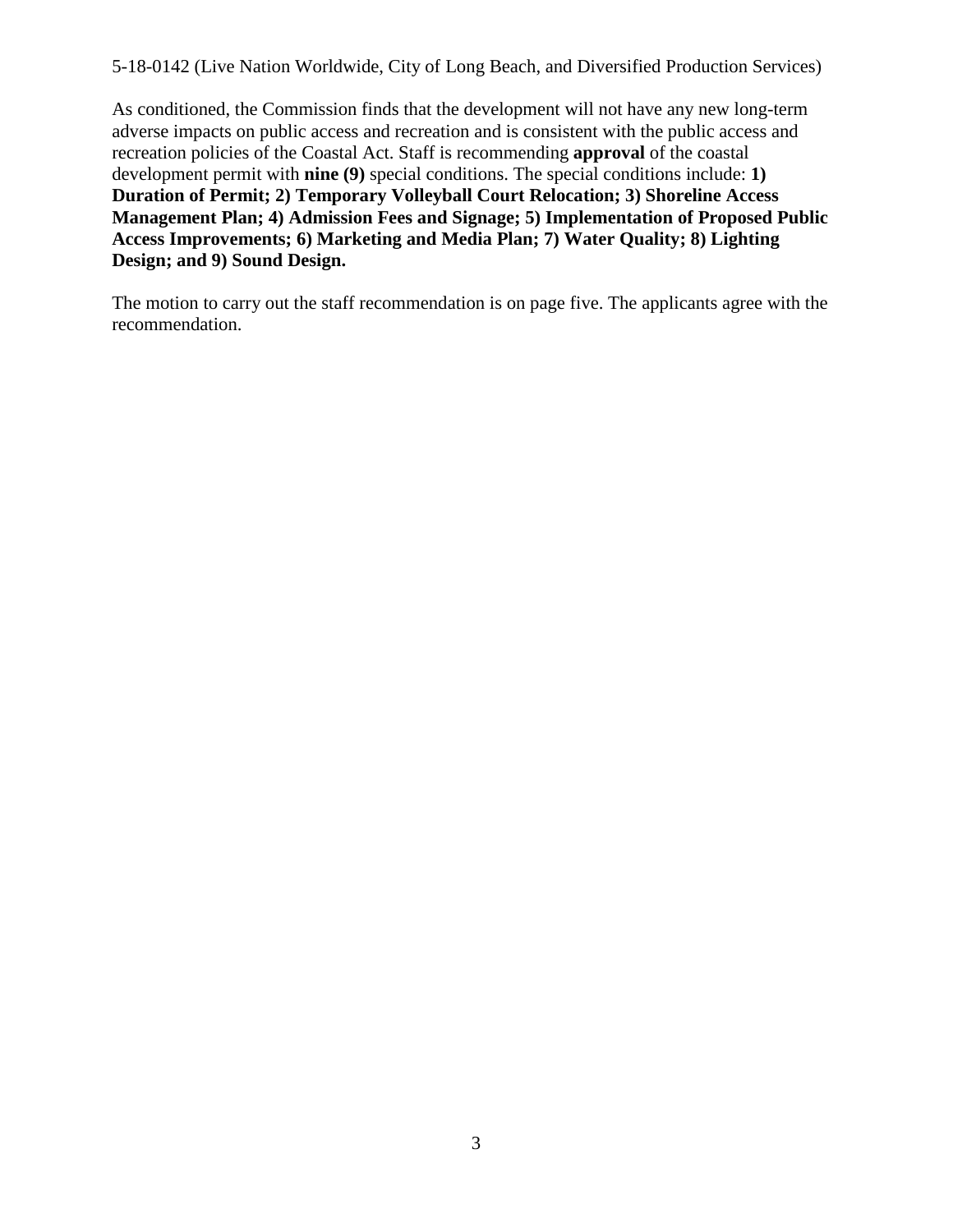As conditioned, the Commission finds that the development will not have any new long-term adverse impacts on public access and recreation and is consistent with the public access and recreation policies of the Coastal Act. Staff is recommending **approval** of the coastal development permit with **nine (9)** special conditions. The special conditions include: **1) Duration of Permit; 2) Temporary Volleyball Court Relocation; 3) Shoreline Access Management Plan; 4) Admission Fees and Signage; 5) Implementation of Proposed Public Access Improvements; 6) Marketing and Media Plan; 7) Water Quality; 8) Lighting Design; and 9) Sound Design.** 

The motion to carry out the staff recommendation is on page five. The applicants agree with the recommendation.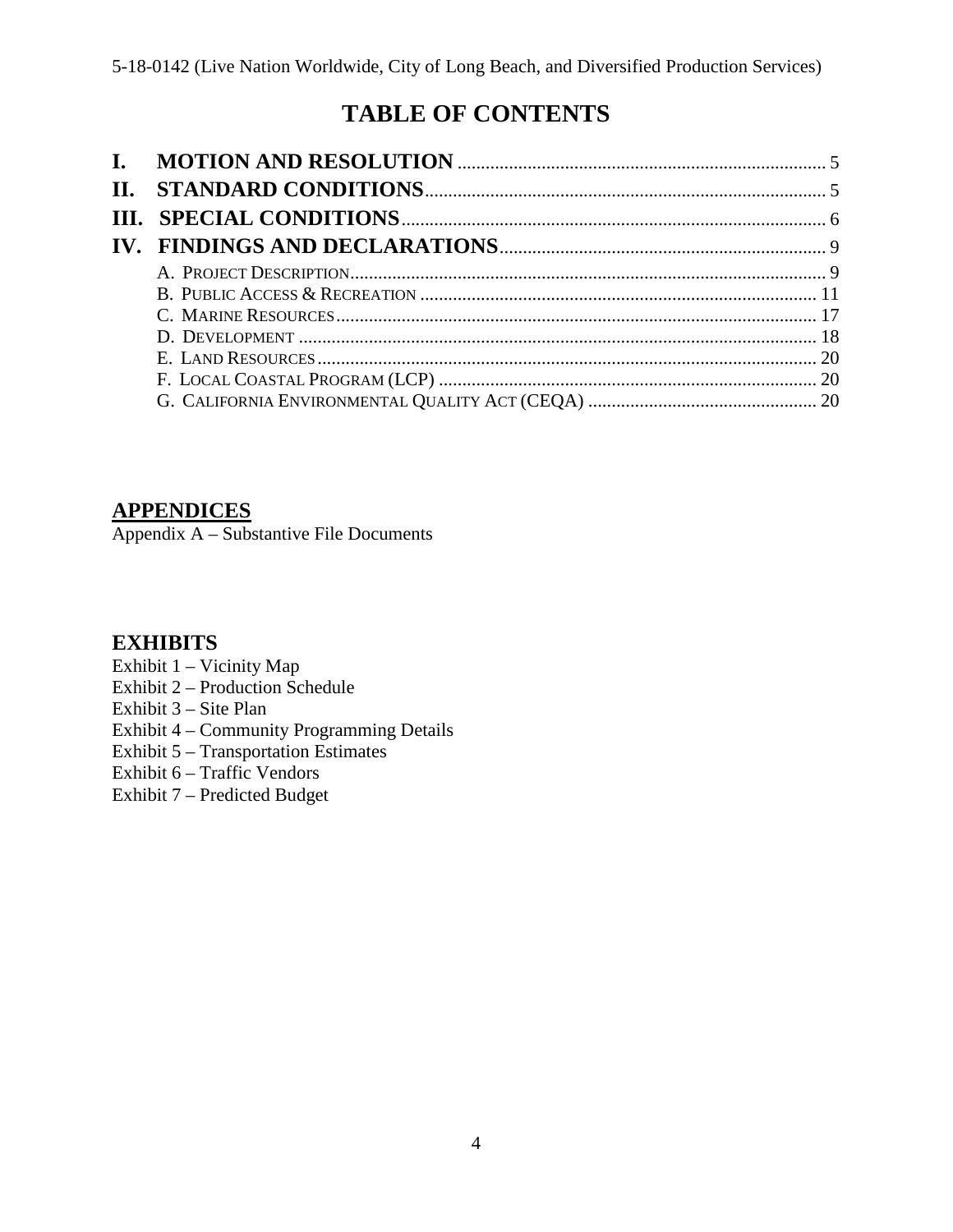## **TABLE OF CONTENTS**

## **[APPENDICES](#page-20-0)**

[Appendix A – Substantive File Documents](#page-20-0)

## **EXHIBITS**

- [Exhibit 1 Vicinity Map](https://documents.coastal.ca.gov/reports/2018/6/th10b/th10b-6-2018-exhibits.pdf)
- [Exhibit 2 Production Schedule](https://documents.coastal.ca.gov/reports/2018/6/th10b/th10b-6-2018-exhibits.pdf)
- [Exhibit 3 Site](https://documents.coastal.ca.gov/reports/2018/6/th10b/th10b-6-2018-exhibits.pdf) Plan
- [Exhibit 4 Community Programming Details](https://documents.coastal.ca.gov/reports/2018/6/th10b/th10b-6-2018-exhibits.pdf)
- [Exhibit 5 Transportation Estimates](https://documents.coastal.ca.gov/reports/2018/6/th10b/th10b-6-2018-exhibits.pdf)
- [Exhibit 6 Traffic Vendors](https://documents.coastal.ca.gov/reports/2018/6/th10b/th10b-6-2018-exhibits.pdf)
- [Exhibit 7 Predicted Budget](https://documents.coastal.ca.gov/reports/2018/6/th10b/th10b-6-2018-exhibits.pdf)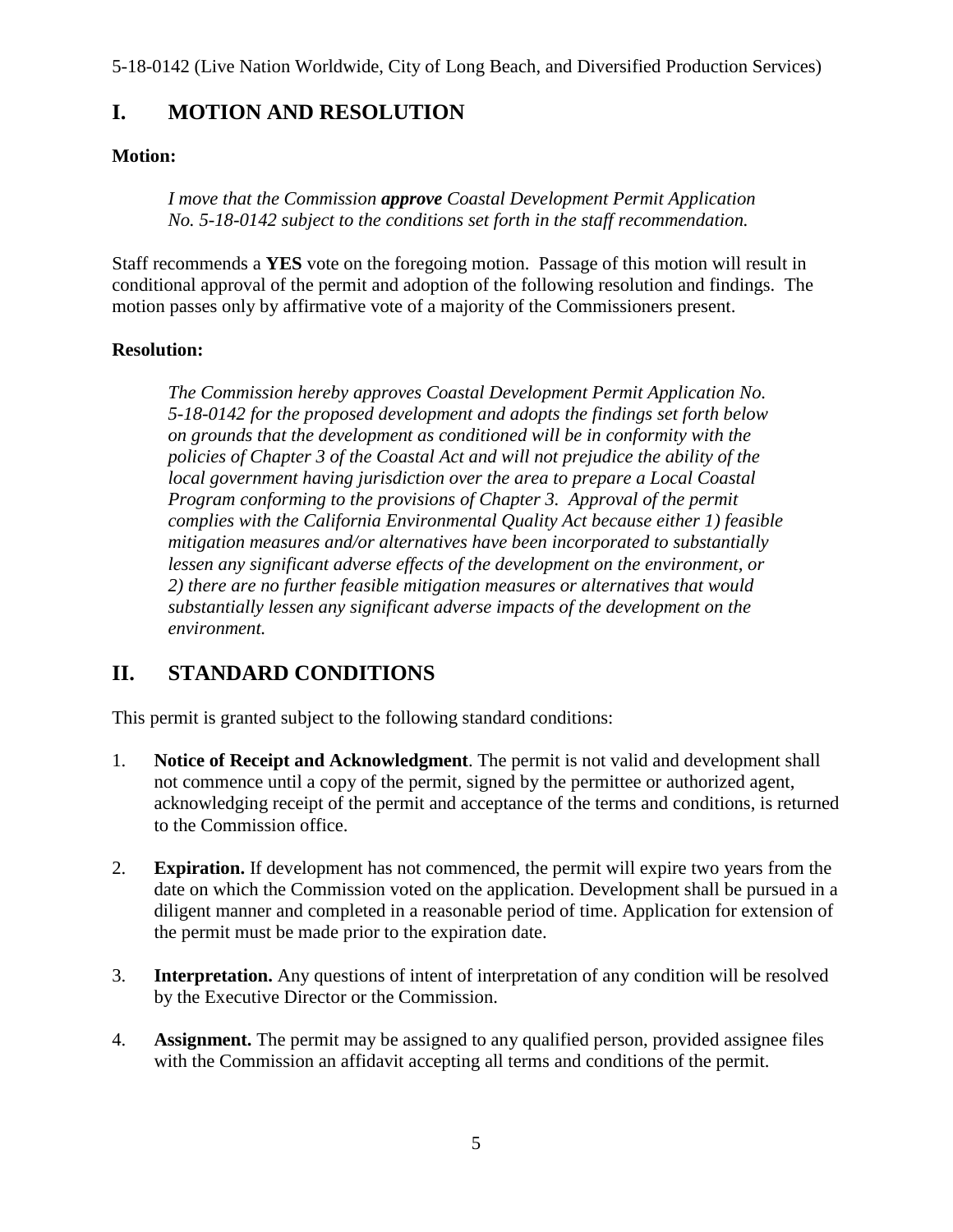## <span id="page-4-0"></span>**I. MOTION AND RESOLUTION**

#### **Motion:**

*I move that the Commission approve Coastal Development Permit Application No. 5-18-0142 subject to the conditions set forth in the staff recommendation.*

Staff recommends a **YES** vote on the foregoing motion. Passage of this motion will result in conditional approval of the permit and adoption of the following resolution and findings. The motion passes only by affirmative vote of a majority of the Commissioners present.

#### **Resolution:**

*The Commission hereby approves Coastal Development Permit Application No. 5-18-0142 for the proposed development and adopts the findings set forth below on grounds that the development as conditioned will be in conformity with the policies of Chapter 3 of the Coastal Act and will not prejudice the ability of the local government having jurisdiction over the area to prepare a Local Coastal Program conforming to the provisions of Chapter 3. Approval of the permit complies with the California Environmental Quality Act because either 1) feasible mitigation measures and/or alternatives have been incorporated to substantially*  lessen any significant adverse effects of the development on the environment, or *2) there are no further feasible mitigation measures or alternatives that would substantially lessen any significant adverse impacts of the development on the environment.* 

## <span id="page-4-1"></span>**II. STANDARD CONDITIONS**

This permit is granted subject to the following standard conditions:

- 1. **Notice of Receipt and Acknowledgment**. The permit is not valid and development shall not commence until a copy of the permit, signed by the permittee or authorized agent, acknowledging receipt of the permit and acceptance of the terms and conditions, is returned to the Commission office.
- 2. **Expiration.** If development has not commenced, the permit will expire two years from the date on which the Commission voted on the application. Development shall be pursued in a diligent manner and completed in a reasonable period of time. Application for extension of the permit must be made prior to the expiration date.
- 3. **Interpretation.** Any questions of intent of interpretation of any condition will be resolved by the Executive Director or the Commission.
- 4. **Assignment.** The permit may be assigned to any qualified person, provided assignee files with the Commission an affidavit accepting all terms and conditions of the permit.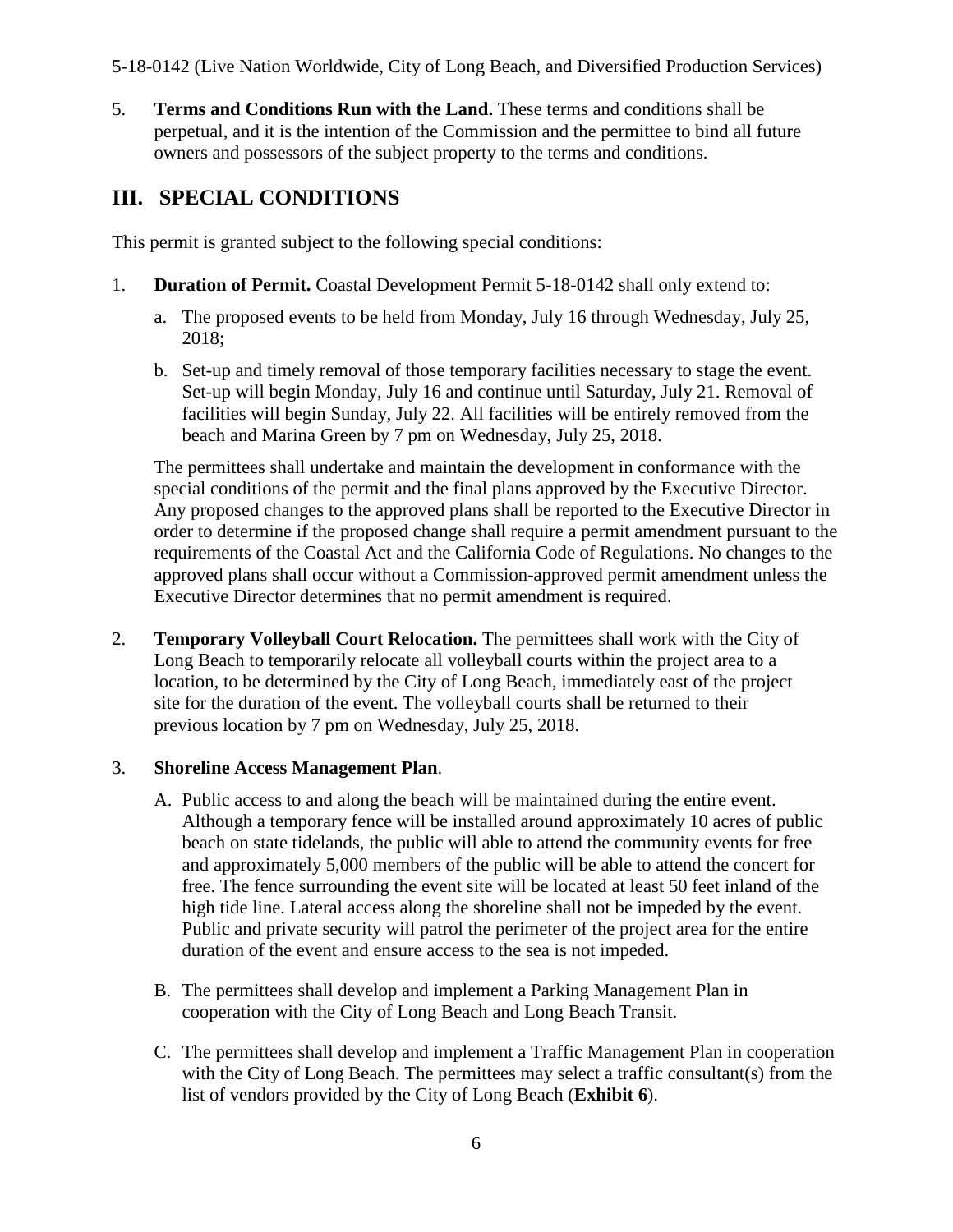5. **Terms and Conditions Run with the Land.** These terms and conditions shall be perpetual, and it is the intention of the Commission and the permittee to bind all future owners and possessors of the subject property to the terms and conditions.

## <span id="page-5-0"></span>**III. SPECIAL CONDITIONS**

This permit is granted subject to the following special conditions:

- 1. **Duration of Permit.** Coastal Development Permit 5-18-0142 shall only extend to:
	- a. The proposed events to be held from Monday, July 16 through Wednesday, July 25, 2018;
	- b. Set-up and timely removal of those temporary facilities necessary to stage the event. Set-up will begin Monday, July 16 and continue until Saturday, July 21. Removal of facilities will begin Sunday, July 22. All facilities will be entirely removed from the beach and Marina Green by 7 pm on Wednesday, July 25, 2018.

The permittees shall undertake and maintain the development in conformance with the special conditions of the permit and the final plans approved by the Executive Director. Any proposed changes to the approved plans shall be reported to the Executive Director in order to determine if the proposed change shall require a permit amendment pursuant to the requirements of the Coastal Act and the California Code of Regulations. No changes to the approved plans shall occur without a Commission-approved permit amendment unless the Executive Director determines that no permit amendment is required.

2. **Temporary Volleyball Court Relocation.** The permittees shall work with the City of Long Beach to temporarily relocate all volleyball courts within the project area to a location, to be determined by the City of Long Beach, immediately east of the project site for the duration of the event. The volleyball courts shall be returned to their previous location by 7 pm on Wednesday, July 25, 2018.

#### 3. **Shoreline Access Management Plan**.

- A. Public access to and along the beach will be maintained during the entire event. Although a temporary fence will be installed around approximately 10 acres of public beach on state tidelands, the public will able to attend the community events for free and approximately 5,000 members of the public will be able to attend the concert for free. The fence surrounding the event site will be located at least 50 feet inland of the high tide line. Lateral access along the shoreline shall not be impeded by the event. Public and private security will patrol the perimeter of the project area for the entire duration of the event and ensure access to the sea is not impeded.
- B. The permittees shall develop and implement a Parking Management Plan in cooperation with the City of Long Beach and Long Beach Transit.
- C. The permittees shall develop and implement a Traffic Management Plan in cooperation with the City of Long Beach. The permittees may select a traffic consultant(s) from the list of vendors provided by the City of Long Beach (**[Exhibit 6](https://documents.coastal.ca.gov/reports/2018/6/th10b/th10b-6-2018-exhibits.pdf)**).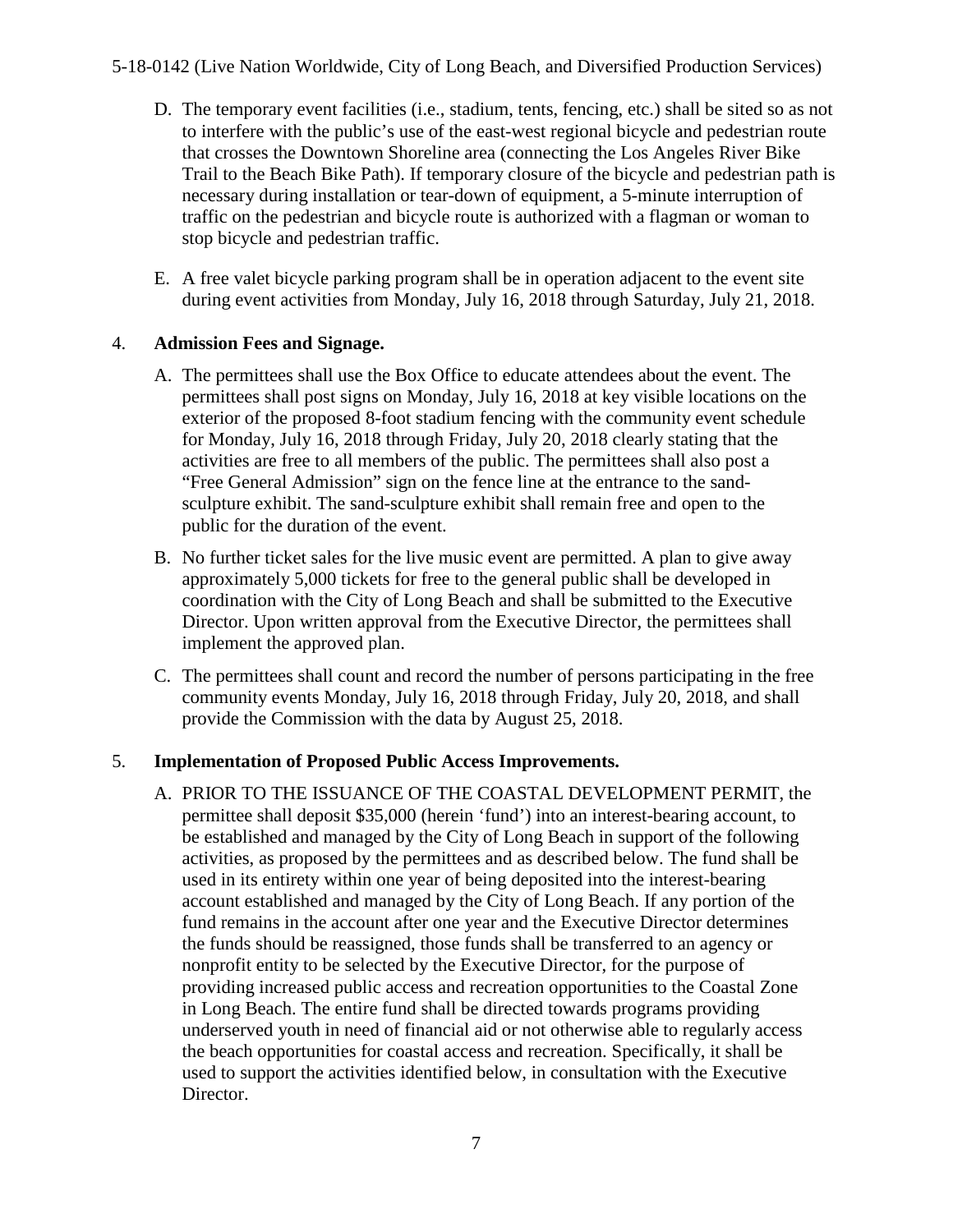- D. The temporary event facilities (i.e., stadium, tents, fencing, etc.) shall be sited so as not to interfere with the public's use of the east-west regional bicycle and pedestrian route that crosses the Downtown Shoreline area (connecting the Los Angeles River Bike Trail to the Beach Bike Path). If temporary closure of the bicycle and pedestrian path is necessary during installation or tear-down of equipment, a 5-minute interruption of traffic on the pedestrian and bicycle route is authorized with a flagman or woman to stop bicycle and pedestrian traffic.
- E. A free valet bicycle parking program shall be in operation adjacent to the event site during event activities from Monday, July 16, 2018 through Saturday, July 21, 2018.

#### 4. **Admission Fees and Signage.**

- A. The permittees shall use the Box Office to educate attendees about the event. The permittees shall post signs on Monday, July 16, 2018 at key visible locations on the exterior of the proposed 8-foot stadium fencing with the community event schedule for Monday, July 16, 2018 through Friday, July 20, 2018 clearly stating that the activities are free to all members of the public. The permittees shall also post a "Free General Admission" sign on the fence line at the entrance to the sandsculpture exhibit. The sand-sculpture exhibit shall remain free and open to the public for the duration of the event.
- B. No further ticket sales for the live music event are permitted. A plan to give away approximately 5,000 tickets for free to the general public shall be developed in coordination with the City of Long Beach and shall be submitted to the Executive Director. Upon written approval from the Executive Director, the permittees shall implement the approved plan.
- C. The permittees shall count and record the number of persons participating in the free community events Monday, July 16, 2018 through Friday, July 20, 2018, and shall provide the Commission with the data by August 25, 2018.

#### 5. **Implementation of Proposed Public Access Improvements.**

A. PRIOR TO THE ISSUANCE OF THE COASTAL DEVELOPMENT PERMIT, the permittee shall deposit \$35,000 (herein 'fund') into an interest-bearing account, to be established and managed by the City of Long Beach in support of the following activities, as proposed by the permittees and as described below. The fund shall be used in its entirety within one year of being deposited into the interest-bearing account established and managed by the City of Long Beach. If any portion of the fund remains in the account after one year and the Executive Director determines the funds should be reassigned, those funds shall be transferred to an agency or nonprofit entity to be selected by the Executive Director, for the purpose of providing increased public access and recreation opportunities to the Coastal Zone in Long Beach. The entire fund shall be directed towards programs providing underserved youth in need of financial aid or not otherwise able to regularly access the beach opportunities for coastal access and recreation. Specifically, it shall be used to support the activities identified below, in consultation with the Executive Director.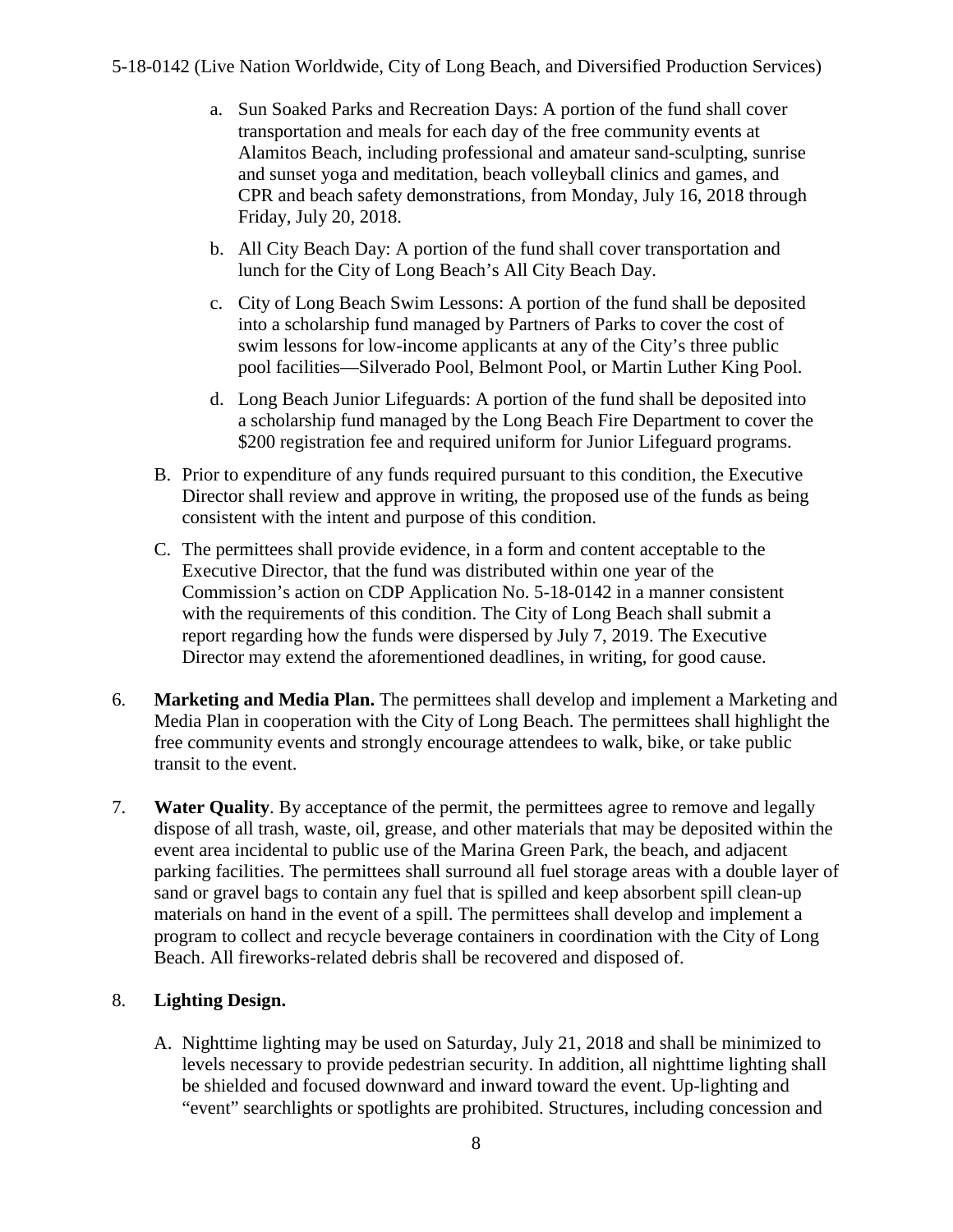- a. Sun Soaked Parks and Recreation Days: A portion of the fund shall cover transportation and meals for each day of the free community events at Alamitos Beach, including professional and amateur sand-sculpting, sunrise and sunset yoga and meditation, beach volleyball clinics and games, and CPR and beach safety demonstrations, from Monday, July 16, 2018 through Friday, July 20, 2018.
- b. All City Beach Day: A portion of the fund shall cover transportation and lunch for the City of Long Beach's All City Beach Day.
- c. City of Long Beach Swim Lessons: A portion of the fund shall be deposited into a scholarship fund managed by Partners of Parks to cover the cost of swim lessons for low-income applicants at any of the City's three public pool facilities—Silverado Pool, Belmont Pool, or Martin Luther King Pool.
- d. Long Beach Junior Lifeguards: A portion of the fund shall be deposited into a scholarship fund managed by the Long Beach Fire Department to cover the \$200 registration fee and required uniform for Junior Lifeguard programs.
- B. Prior to expenditure of any funds required pursuant to this condition, the Executive Director shall review and approve in writing, the proposed use of the funds as being consistent with the intent and purpose of this condition.
- C. The permittees shall provide evidence, in a form and content acceptable to the Executive Director, that the fund was distributed within one year of the Commission's action on CDP Application No. 5-18-0142 in a manner consistent with the requirements of this condition. The City of Long Beach shall submit a report regarding how the funds were dispersed by July 7, 2019. The Executive Director may extend the aforementioned deadlines, in writing, for good cause.
- 6. **Marketing and Media Plan.** The permittees shall develop and implement a Marketing and Media Plan in cooperation with the City of Long Beach. The permittees shall highlight the free community events and strongly encourage attendees to walk, bike, or take public transit to the event.
- 7. **Water Quality**. By acceptance of the permit, the permittees agree to remove and legally dispose of all trash, waste, oil, grease, and other materials that may be deposited within the event area incidental to public use of the Marina Green Park, the beach, and adjacent parking facilities. The permittees shall surround all fuel storage areas with a double layer of sand or gravel bags to contain any fuel that is spilled and keep absorbent spill clean-up materials on hand in the event of a spill. The permittees shall develop and implement a program to collect and recycle beverage containers in coordination with the City of Long Beach. All fireworks-related debris shall be recovered and disposed of.

### 8. **Lighting Design.**

A. Nighttime lighting may be used on Saturday, July 21, 2018 and shall be minimized to levels necessary to provide pedestrian security. In addition, all nighttime lighting shall be shielded and focused downward and inward toward the event. Up-lighting and "event" searchlights or spotlights are prohibited. Structures, including concession and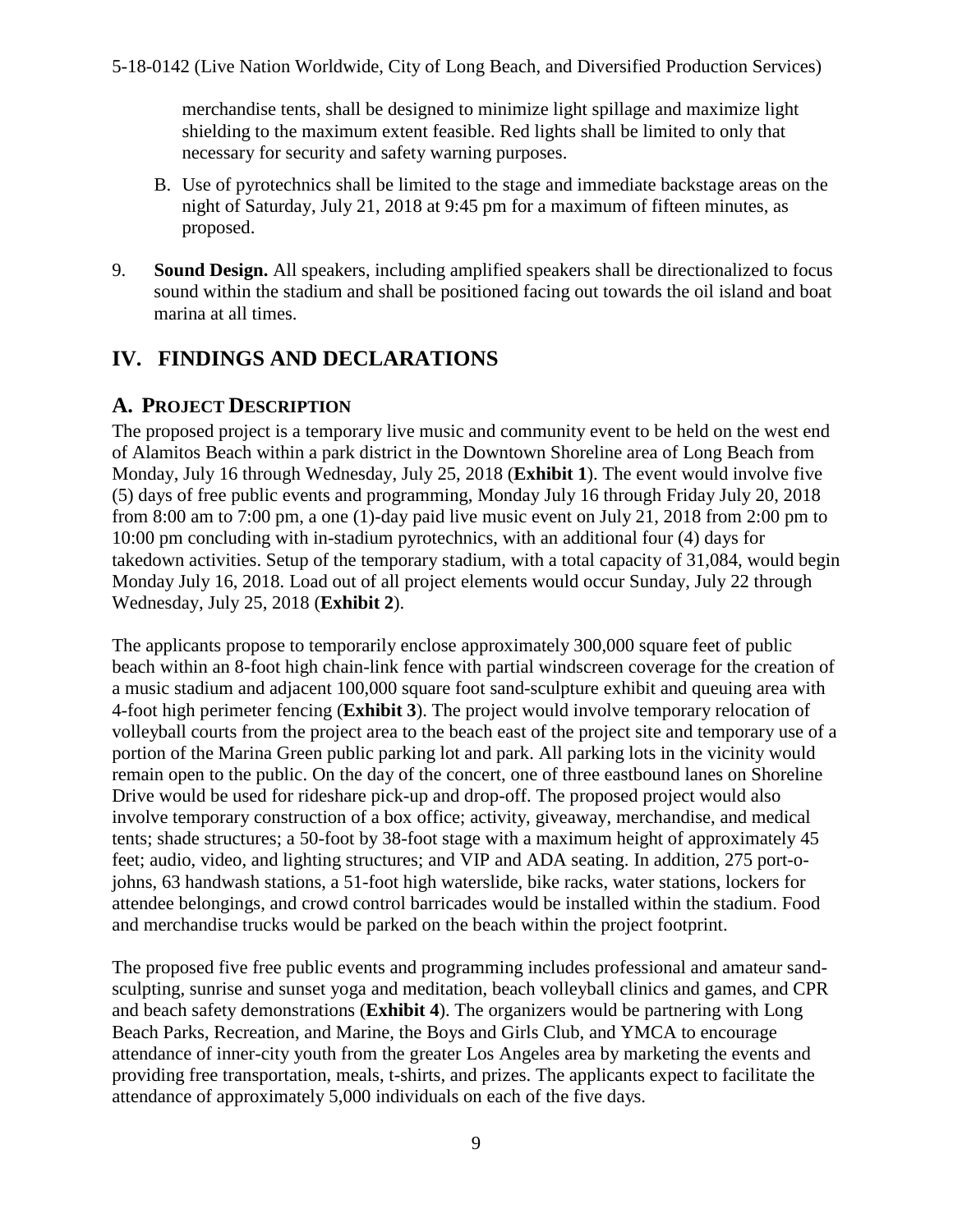merchandise tents, shall be designed to minimize light spillage and maximize light shielding to the maximum extent feasible. Red lights shall be limited to only that necessary for security and safety warning purposes.

- B. Use of pyrotechnics shall be limited to the stage and immediate backstage areas on the night of Saturday, July 21, 2018 at 9:45 pm for a maximum of fifteen minutes, as proposed.
- <span id="page-8-0"></span>9. **Sound Design.** All speakers, including amplified speakers shall be directionalized to focus sound within the stadium and shall be positioned facing out towards the oil island and boat marina at all times.

## **IV. FINDINGS AND DECLARATIONS**

## <span id="page-8-1"></span>**A. PROJECT DESCRIPTION**

The proposed project is a temporary live music and community event to be held on the west end of Alamitos Beach within a park district in the Downtown Shoreline area of Long Beach from Monday, July 16 through Wednesday, July 25, 2018 (**[Exhibit 1](https://documents.coastal.ca.gov/reports/2018/6/th10b/th10b-6-2018-exhibits.pdf)**). The event would involve five (5) days of free public events and programming, Monday July 16 through Friday July 20, 2018 from 8:00 am to 7:00 pm, a one (1)-day paid live music event on July 21, 2018 from 2:00 pm to 10:00 pm concluding with in-stadium pyrotechnics, with an additional four (4) days for takedown activities. Setup of the temporary stadium, with a total capacity of 31,084, would begin Monday July 16, 2018. Load out of all project elements would occur Sunday, July 22 through Wednesday, July 25, 2018 (**[Exhibit 2](https://documents.coastal.ca.gov/reports/2018/6/th10b/th10b-6-2018-exhibits.pdf)**).

The applicants propose to temporarily enclose approximately 300,000 square feet of public beach within an 8-foot high chain-link fence with partial windscreen coverage for the creation of a music stadium and adjacent 100,000 square foot sand-sculpture exhibit and queuing area with 4-foot high perimeter fencing (**[Exhibit 3](https://documents.coastal.ca.gov/reports/2018/6/th10b/th10b-6-2018-exhibits.pdf)**). The project would involve temporary relocation of volleyball courts from the project area to the beach east of the project site and temporary use of a portion of the Marina Green public parking lot and park. All parking lots in the vicinity would remain open to the public. On the day of the concert, one of three eastbound lanes on Shoreline Drive would be used for rideshare pick-up and drop-off. The proposed project would also involve temporary construction of a box office; activity, giveaway, merchandise, and medical tents; shade structures; a 50-foot by 38-foot stage with a maximum height of approximately 45 feet; audio, video, and lighting structures; and VIP and ADA seating. In addition, 275 port-ojohns, 63 handwash stations, a 51-foot high waterslide, bike racks, water stations, lockers for attendee belongings, and crowd control barricades would be installed within the stadium. Food and merchandise trucks would be parked on the beach within the project footprint.

The proposed five free public events and programming includes professional and amateur sandsculpting, sunrise and sunset yoga and meditation, beach volleyball clinics and games, and CPR and beach safety demonstrations (**[Exhibit 4](https://documents.coastal.ca.gov/reports/2018/6/th10b/th10b-6-2018-exhibits.pdf)**). The organizers would be partnering with Long Beach Parks, Recreation, and Marine, the Boys and Girls Club, and YMCA to encourage attendance of inner-city youth from the greater Los Angeles area by marketing the events and providing free transportation, meals, t-shirts, and prizes. The applicants expect to facilitate the attendance of approximately 5,000 individuals on each of the five days.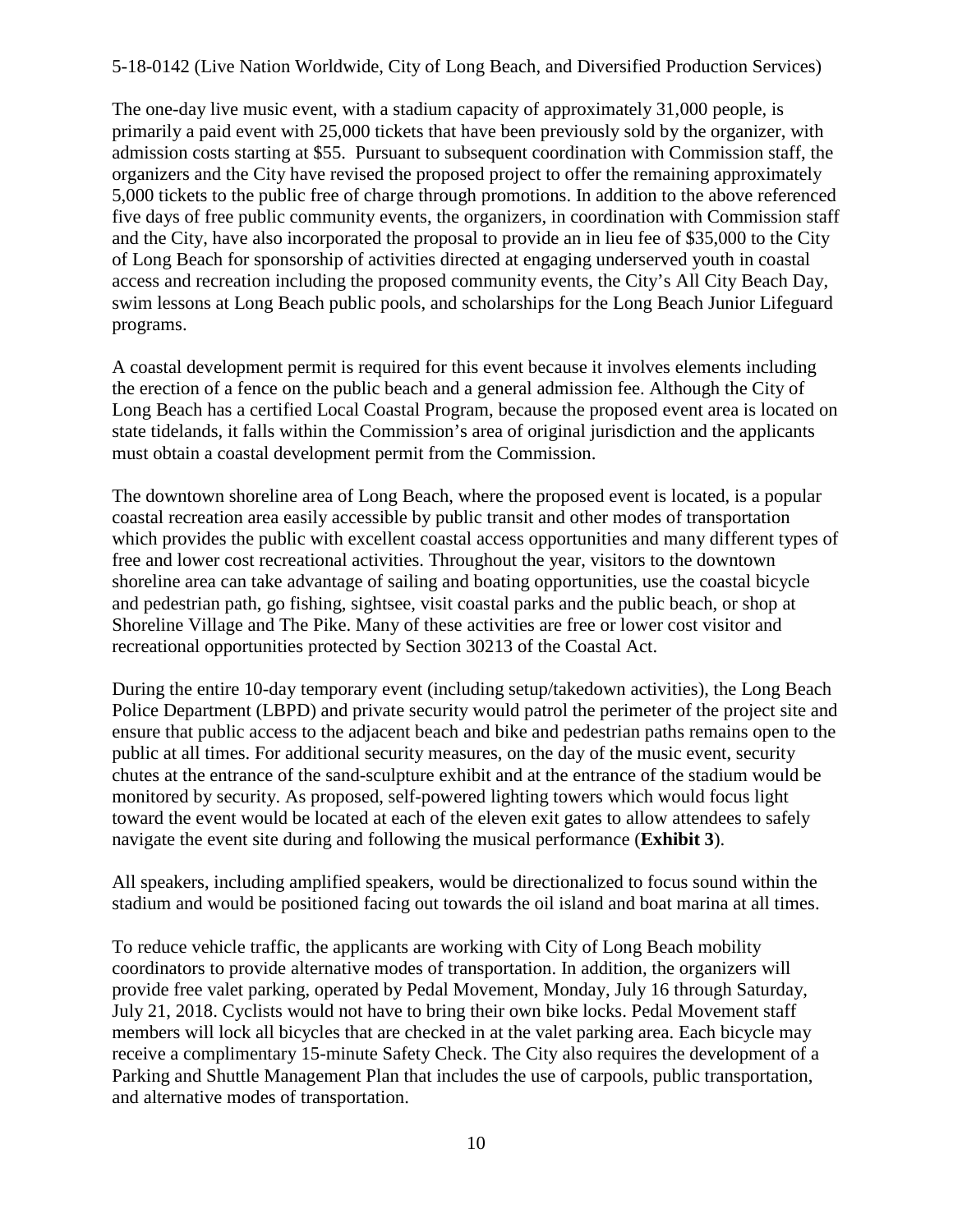The one-day live music event, with a stadium capacity of approximately 31,000 people, is primarily a paid event with 25,000 tickets that have been previously sold by the organizer, with admission costs starting at \$55. Pursuant to subsequent coordination with Commission staff, the organizers and the City have revised the proposed project to offer the remaining approximately 5,000 tickets to the public free of charge through promotions. In addition to the above referenced five days of free public community events, the organizers, in coordination with Commission staff and the City, have also incorporated the proposal to provide an in lieu fee of \$35,000 to the City of Long Beach for sponsorship of activities directed at engaging underserved youth in coastal access and recreation including the proposed community events, the City's All City Beach Day, swim lessons at Long Beach public pools, and scholarships for the Long Beach Junior Lifeguard programs.

A coastal development permit is required for this event because it involves elements including the erection of a fence on the public beach and a general admission fee. Although the City of Long Beach has a certified Local Coastal Program, because the proposed event area is located on state tidelands, it falls within the Commission's area of original jurisdiction and the applicants must obtain a coastal development permit from the Commission.

The downtown shoreline area of Long Beach, where the proposed event is located, is a popular coastal recreation area easily accessible by public transit and other modes of transportation which provides the public with excellent coastal access opportunities and many different types of free and lower cost recreational activities. Throughout the year, visitors to the downtown shoreline area can take advantage of sailing and boating opportunities, use the coastal bicycle and pedestrian path, go fishing, sightsee, visit coastal parks and the public beach, or shop at Shoreline Village and The Pike. Many of these activities are free or lower cost visitor and recreational opportunities protected by Section 30213 of the Coastal Act.

During the entire 10-day temporary event (including setup/takedown activities), the Long Beach Police Department (LBPD) and private security would patrol the perimeter of the project site and ensure that public access to the adjacent beach and bike and pedestrian paths remains open to the public at all times. For additional security measures, on the day of the music event, security chutes at the entrance of the sand-sculpture exhibit and at the entrance of the stadium would be monitored by security. As proposed, self-powered lighting towers which would focus light toward the event would be located at each of the eleven exit gates to allow attendees to safely navigate the event site during and following the musical performance (**[Exhibit 3](https://documents.coastal.ca.gov/reports/2018/6/th10b/th10b-6-2018-exhibits.pdf)**).

All speakers, including amplified speakers, would be directionalized to focus sound within the stadium and would be positioned facing out towards the oil island and boat marina at all times.

To reduce vehicle traffic, the applicants are working with City of Long Beach mobility coordinators to provide alternative modes of transportation. In addition, the organizers will provide free valet parking, operated by Pedal Movement, Monday, July 16 through Saturday, July 21, 2018. Cyclists would not have to bring their own bike locks. Pedal Movement staff members will lock all bicycles that are checked in at the valet parking area. Each bicycle may receive a complimentary 15-minute Safety Check. The City also requires the development of a Parking and Shuttle Management Plan that includes the use of carpools, public transportation, and alternative modes of transportation.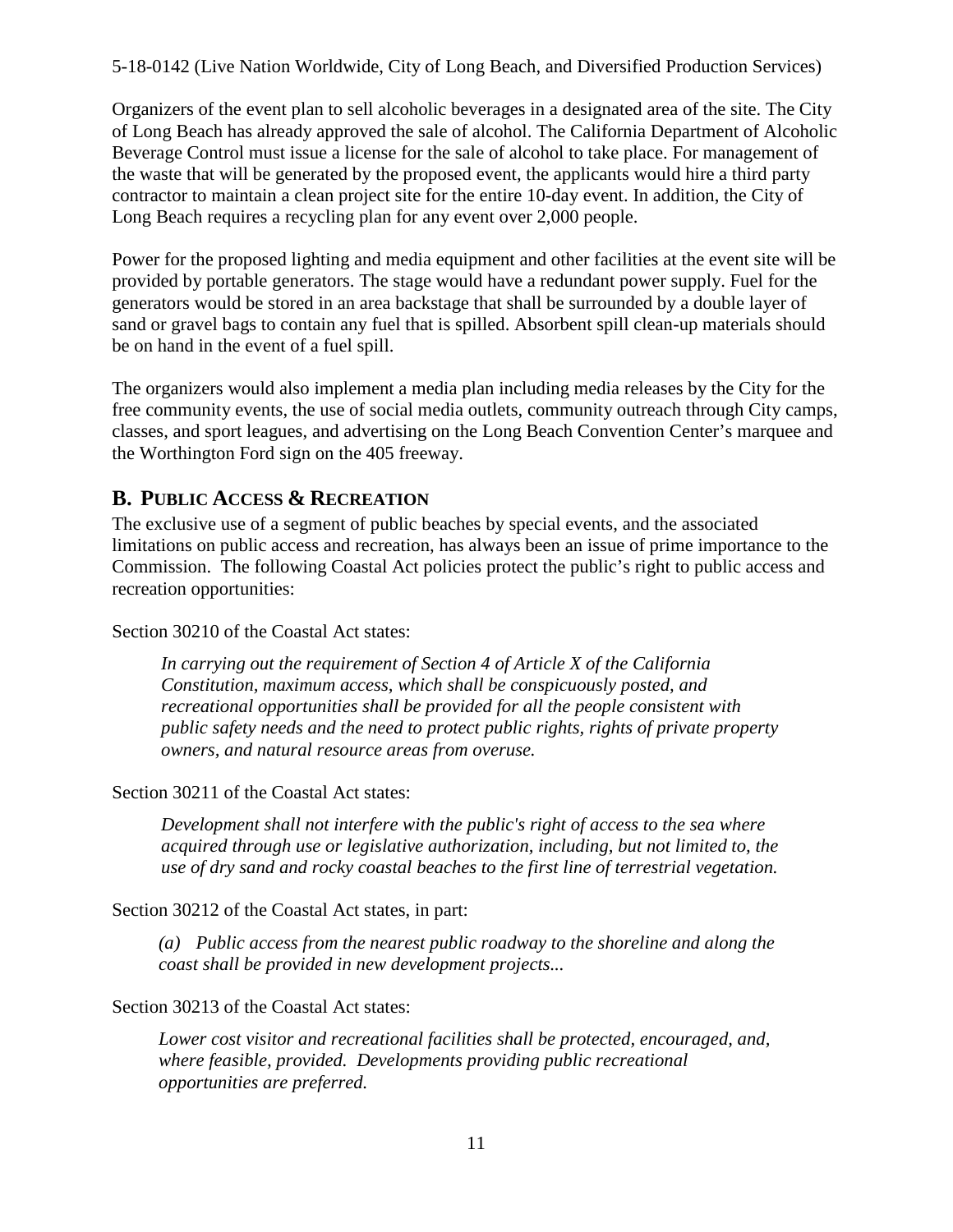Organizers of the event plan to sell alcoholic beverages in a designated area of the site. The City of Long Beach has already approved the sale of alcohol. The California Department of Alcoholic Beverage Control must issue a license for the sale of alcohol to take place. For management of the waste that will be generated by the proposed event, the applicants would hire a third party contractor to maintain a clean project site for the entire 10-day event. In addition, the City of Long Beach requires a recycling plan for any event over 2,000 people.

Power for the proposed lighting and media equipment and other facilities at the event site will be provided by portable generators. The stage would have a redundant power supply. Fuel for the generators would be stored in an area backstage that shall be surrounded by a double layer of sand or gravel bags to contain any fuel that is spilled. Absorbent spill clean-up materials should be on hand in the event of a fuel spill.

The organizers would also implement a media plan including media releases by the City for the free community events, the use of social media outlets, community outreach through City camps, classes, and sport leagues, and advertising on the Long Beach Convention Center's marquee and the Worthington Ford sign on the 405 freeway.

## <span id="page-10-0"></span>**B. PUBLIC ACCESS & RECREATION**

The exclusive use of a segment of public beaches by special events, and the associated limitations on public access and recreation, has always been an issue of prime importance to the Commission. The following Coastal Act policies protect the public's right to public access and recreation opportunities:

Section 30210 of the Coastal Act states:

 *In carrying out the requirement of Section 4 of Article X of the California Constitution, maximum access, which shall be conspicuously posted, and recreational opportunities shall be provided for all the people consistent with public safety needs and the need to protect public rights, rights of private property owners, and natural resource areas from overuse.* 

Section 30211 of the Coastal Act states:

 *Development shall not interfere with the public's right of access to the sea where acquired through use or legislative authorization, including, but not limited to, the use of dry sand and rocky coastal beaches to the first line of terrestrial vegetation.* 

Section 30212 of the Coastal Act states, in part:

*(a) Public access from the nearest public roadway to the shoreline and along the coast shall be provided in new development projects...* 

Section 30213 of the Coastal Act states:

*Lower cost visitor and recreational facilities shall be protected, encouraged, and, where feasible, provided. Developments providing public recreational opportunities are preferred.*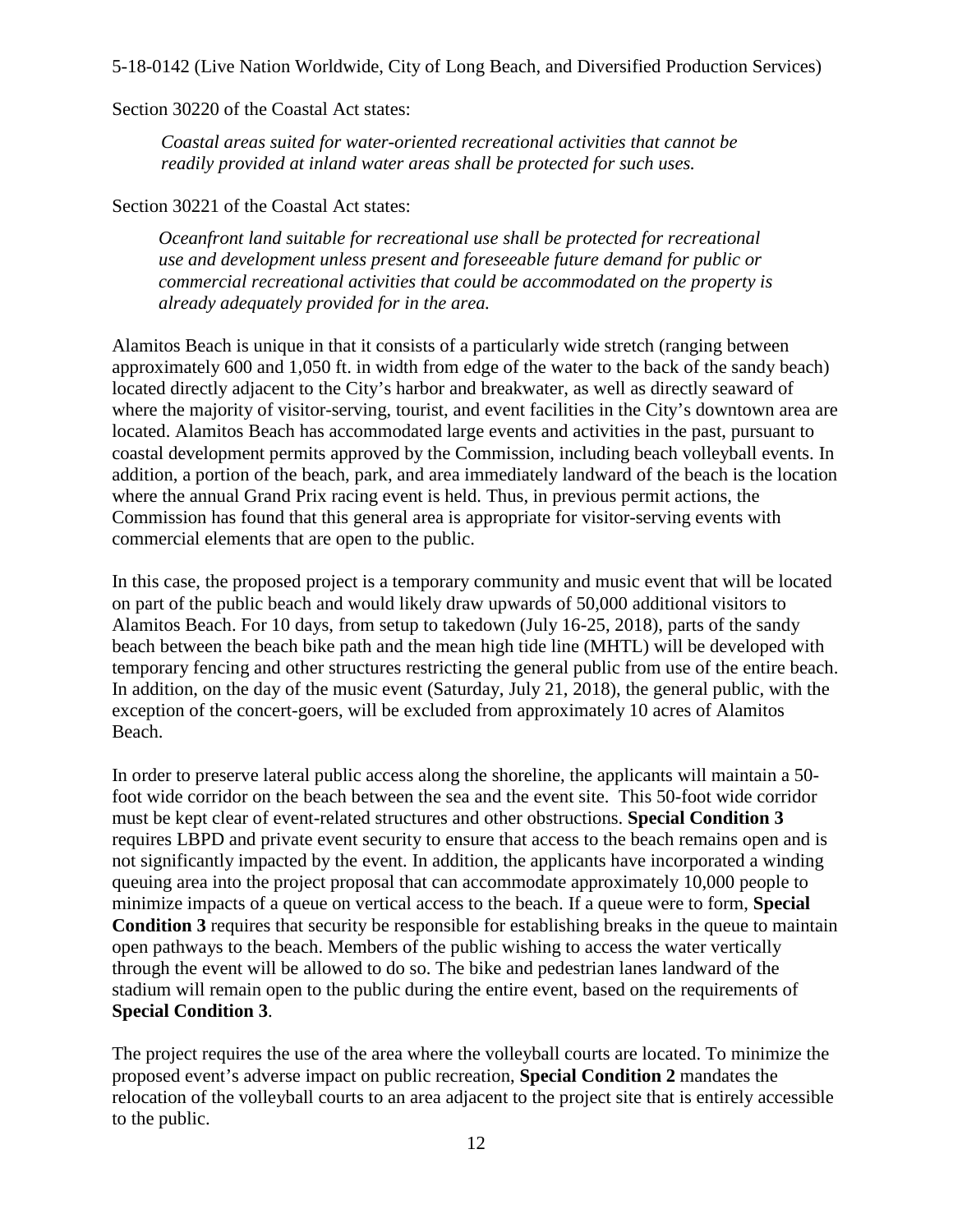Section 30220 of the Coastal Act states:

 *Coastal areas suited for water-oriented recreational activities that cannot be readily provided at inland water areas shall be protected for such uses.* 

Section 30221 of the Coastal Act states:

*Oceanfront land suitable for recreational use shall be protected for recreational use and development unless present and foreseeable future demand for public or commercial recreational activities that could be accommodated on the property is already adequately provided for in the area.* 

Alamitos Beach is unique in that it consists of a particularly wide stretch (ranging between approximately 600 and 1,050 ft. in width from edge of the water to the back of the sandy beach) located directly adjacent to the City's harbor and breakwater, as well as directly seaward of where the majority of visitor-serving, tourist, and event facilities in the City's downtown area are located. Alamitos Beach has accommodated large events and activities in the past, pursuant to coastal development permits approved by the Commission, including beach volleyball events. In addition, a portion of the beach, park, and area immediately landward of the beach is the location where the annual Grand Prix racing event is held. Thus, in previous permit actions, the Commission has found that this general area is appropriate for visitor-serving events with commercial elements that are open to the public.

In this case, the proposed project is a temporary community and music event that will be located on part of the public beach and would likely draw upwards of 50,000 additional visitors to Alamitos Beach. For 10 days, from setup to takedown (July 16-25, 2018), parts of the sandy beach between the beach bike path and the mean high tide line (MHTL) will be developed with temporary fencing and other structures restricting the general public from use of the entire beach. In addition, on the day of the music event (Saturday, July 21, 2018), the general public, with the exception of the concert-goers, will be excluded from approximately 10 acres of Alamitos Beach.

In order to preserve lateral public access along the shoreline, the applicants will maintain a 50 foot wide corridor on the beach between the sea and the event site. This 50-foot wide corridor must be kept clear of event-related structures and other obstructions. **Special Condition 3**  requires LBPD and private event security to ensure that access to the beach remains open and is not significantly impacted by the event. In addition, the applicants have incorporated a winding queuing area into the project proposal that can accommodate approximately 10,000 people to minimize impacts of a queue on vertical access to the beach. If a queue were to form, **Special Condition 3** requires that security be responsible for establishing breaks in the queue to maintain open pathways to the beach. Members of the public wishing to access the water vertically through the event will be allowed to do so. The bike and pedestrian lanes landward of the stadium will remain open to the public during the entire event, based on the requirements of **Special Condition 3**.

The project requires the use of the area where the volleyball courts are located. To minimize the proposed event's adverse impact on public recreation, **Special Condition 2** mandates the relocation of the volleyball courts to an area adjacent to the project site that is entirely accessible to the public.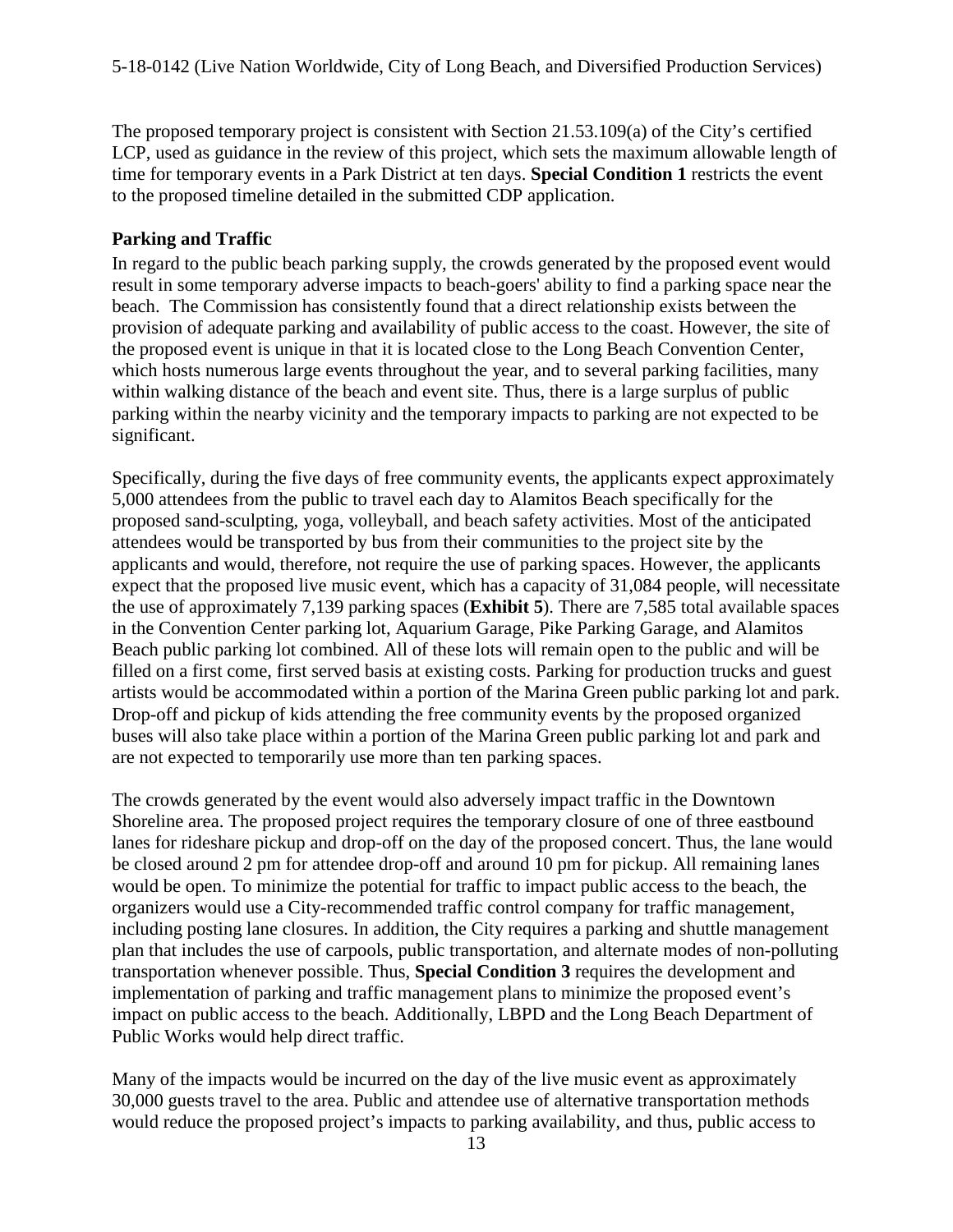The proposed temporary project is consistent with Section 21.53.109(a) of the City's certified LCP, used as guidance in the review of this project, which sets the maximum allowable length of time for temporary events in a Park District at ten days. **Special Condition 1** restricts the event to the proposed timeline detailed in the submitted CDP application.

#### **Parking and Traffic**

In regard to the public beach parking supply, the crowds generated by the proposed event would result in some temporary adverse impacts to beach-goers' ability to find a parking space near the beach. The Commission has consistently found that a direct relationship exists between the provision of adequate parking and availability of public access to the coast. However, the site of the proposed event is unique in that it is located close to the Long Beach Convention Center, which hosts numerous large events throughout the year, and to several parking facilities, many within walking distance of the beach and event site. Thus, there is a large surplus of public parking within the nearby vicinity and the temporary impacts to parking are not expected to be significant.

Specifically, during the five days of free community events, the applicants expect approximately 5,000 attendees from the public to travel each day to Alamitos Beach specifically for the proposed sand-sculpting, yoga, volleyball, and beach safety activities. Most of the anticipated attendees would be transported by bus from their communities to the project site by the applicants and would, therefore, not require the use of parking spaces. However, the applicants expect that the proposed live music event, which has a capacity of 31,084 people, will necessitate the use of approximately 7,139 parking spaces (**[Exhibit 5](https://documents.coastal.ca.gov/reports/2018/6/th10b/th10b-6-2018-exhibits.pdf)**). There are 7,585 total available spaces in the Convention Center parking lot, Aquarium Garage, Pike Parking Garage, and Alamitos Beach public parking lot combined. All of these lots will remain open to the public and will be filled on a first come, first served basis at existing costs. Parking for production trucks and guest artists would be accommodated within a portion of the Marina Green public parking lot and park. Drop-off and pickup of kids attending the free community events by the proposed organized buses will also take place within a portion of the Marina Green public parking lot and park and are not expected to temporarily use more than ten parking spaces.

The crowds generated by the event would also adversely impact traffic in the Downtown Shoreline area. The proposed project requires the temporary closure of one of three eastbound lanes for rideshare pickup and drop-off on the day of the proposed concert. Thus, the lane would be closed around 2 pm for attendee drop-off and around 10 pm for pickup. All remaining lanes would be open. To minimize the potential for traffic to impact public access to the beach, the organizers would use a City-recommended traffic control company for traffic management, including posting lane closures. In addition, the City requires a parking and shuttle management plan that includes the use of carpools, public transportation, and alternate modes of non-polluting transportation whenever possible. Thus, **Special Condition 3** requires the development and implementation of parking and traffic management plans to minimize the proposed event's impact on public access to the beach. Additionally, LBPD and the Long Beach Department of Public Works would help direct traffic.

Many of the impacts would be incurred on the day of the live music event as approximately 30,000 guests travel to the area. Public and attendee use of alternative transportation methods would reduce the proposed project's impacts to parking availability, and thus, public access to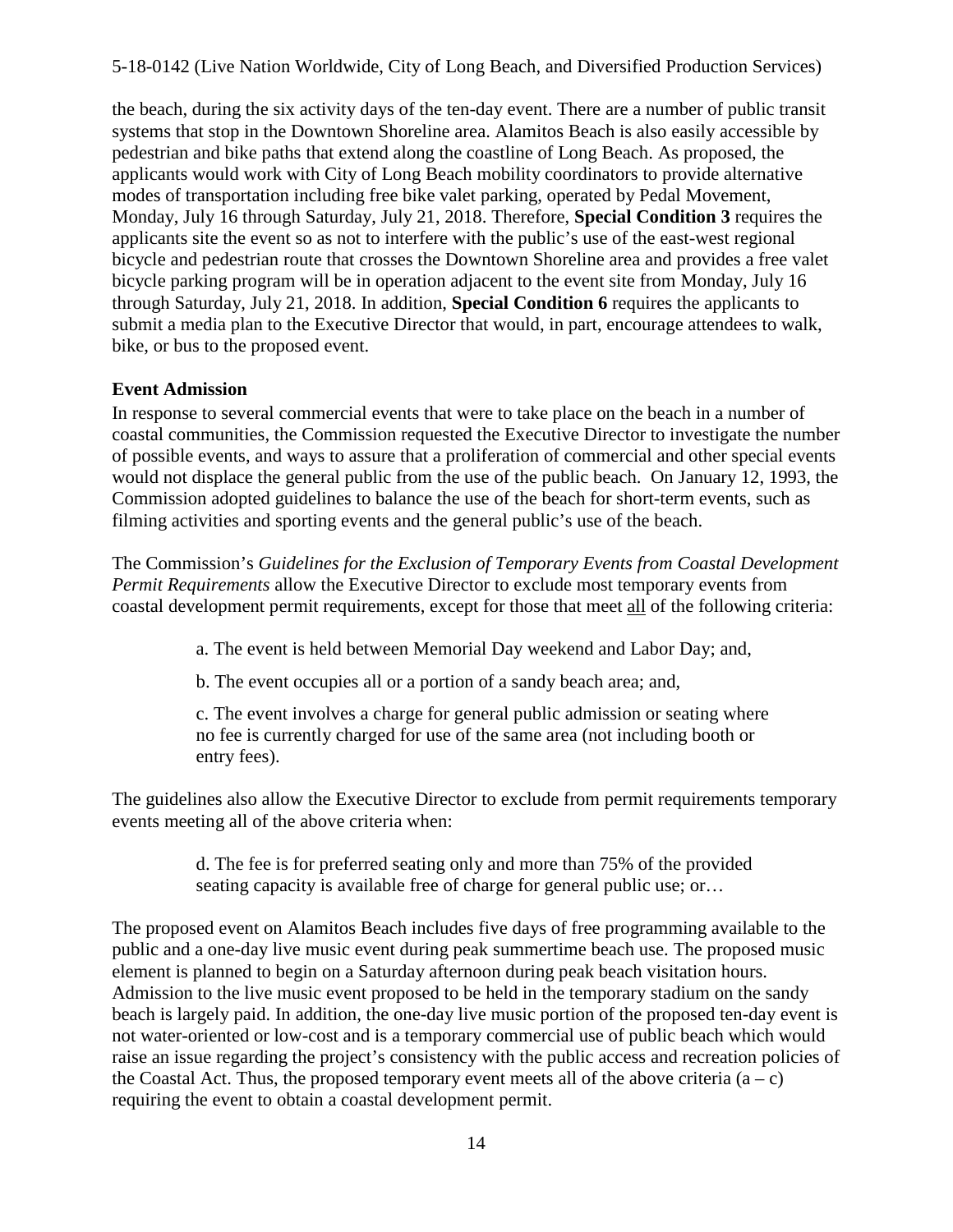the beach, during the six activity days of the ten-day event. There are a number of public transit systems that stop in the Downtown Shoreline area. Alamitos Beach is also easily accessible by pedestrian and bike paths that extend along the coastline of Long Beach. As proposed, the applicants would work with City of Long Beach mobility coordinators to provide alternative modes of transportation including free bike valet parking, operated by Pedal Movement, Monday, July 16 through Saturday, July 21, 2018. Therefore, **Special Condition 3** requires the applicants site the event so as not to interfere with the public's use of the east-west regional bicycle and pedestrian route that crosses the Downtown Shoreline area and provides a free valet bicycle parking program will be in operation adjacent to the event site from Monday, July 16 through Saturday, July 21, 2018. In addition, **Special Condition 6** requires the applicants to submit a media plan to the Executive Director that would, in part, encourage attendees to walk, bike, or bus to the proposed event.

#### **Event Admission**

In response to several commercial events that were to take place on the beach in a number of coastal communities, the Commission requested the Executive Director to investigate the number of possible events, and ways to assure that a proliferation of commercial and other special events would not displace the general public from the use of the public beach. On January 12, 1993, the Commission adopted guidelines to balance the use of the beach for short-term events, such as filming activities and sporting events and the general public's use of the beach.

The Commission's *Guidelines for the Exclusion of Temporary Events from Coastal Development Permit Requirements* allow the Executive Director to exclude most temporary events from coastal development permit requirements, except for those that meet all of the following criteria:

a. The event is held between Memorial Day weekend and Labor Day; and,

b. The event occupies all or a portion of a sandy beach area; and,

c. The event involves a charge for general public admission or seating where no fee is currently charged for use of the same area (not including booth or entry fees).

The guidelines also allow the Executive Director to exclude from permit requirements temporary events meeting all of the above criteria when:

> d. The fee is for preferred seating only and more than 75% of the provided seating capacity is available free of charge for general public use; or…

The proposed event on Alamitos Beach includes five days of free programming available to the public and a one-day live music event during peak summertime beach use. The proposed music element is planned to begin on a Saturday afternoon during peak beach visitation hours. Admission to the live music event proposed to be held in the temporary stadium on the sandy beach is largely paid. In addition, the one-day live music portion of the proposed ten-day event is not water-oriented or low-cost and is a temporary commercial use of public beach which would raise an issue regarding the project's consistency with the public access and recreation policies of the Coastal Act. Thus, the proposed temporary event meets all of the above criteria  $(a - c)$ requiring the event to obtain a coastal development permit.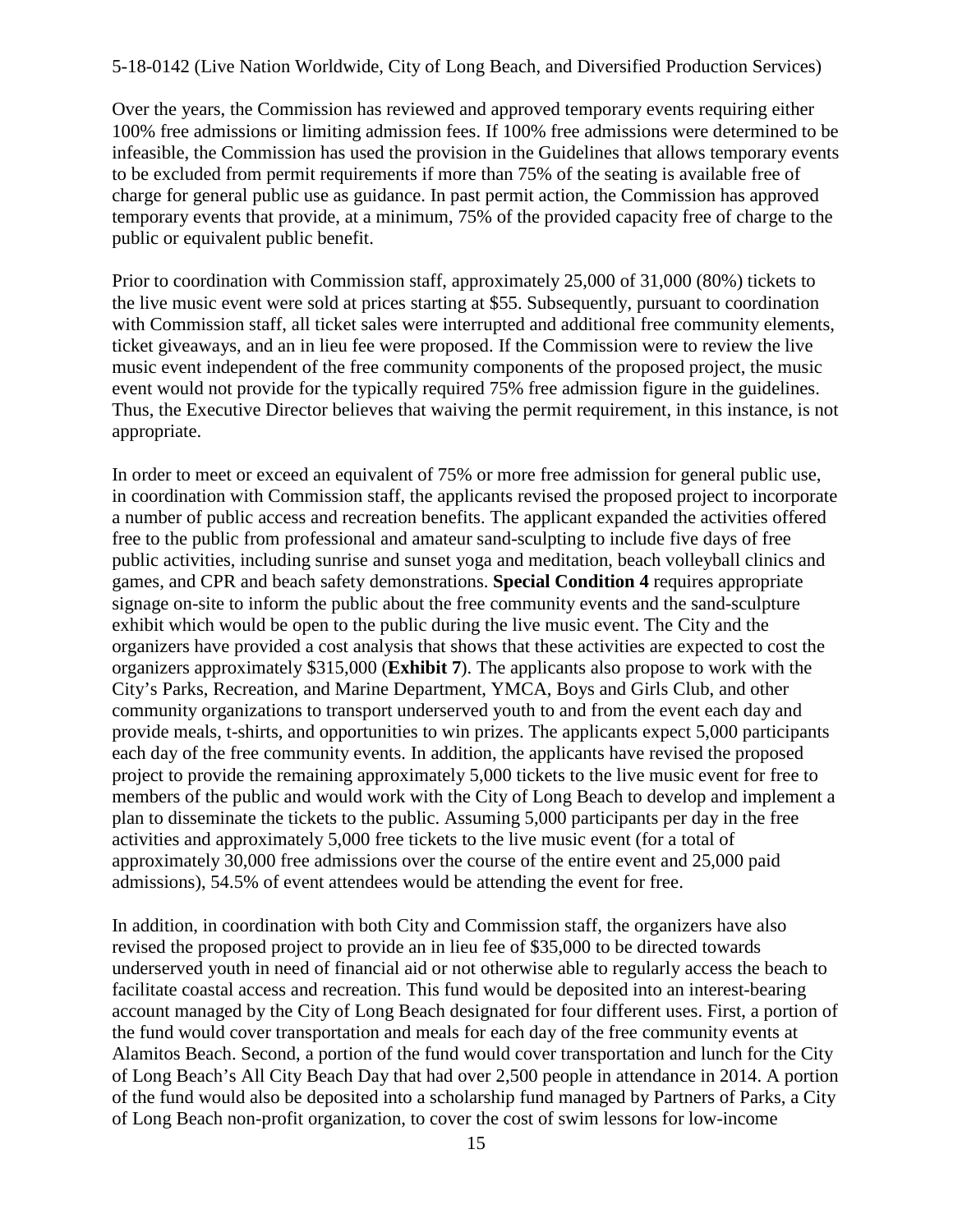Over the years, the Commission has reviewed and approved temporary events requiring either 100% free admissions or limiting admission fees. If 100% free admissions were determined to be infeasible, the Commission has used the provision in the Guidelines that allows temporary events to be excluded from permit requirements if more than 75% of the seating is available free of charge for general public use as guidance. In past permit action, the Commission has approved temporary events that provide, at a minimum, 75% of the provided capacity free of charge to the public or equivalent public benefit.

Prior to coordination with Commission staff, approximately 25,000 of 31,000 (80%) tickets to the live music event were sold at prices starting at \$55. Subsequently, pursuant to coordination with Commission staff, all ticket sales were interrupted and additional free community elements, ticket giveaways, and an in lieu fee were proposed. If the Commission were to review the live music event independent of the free community components of the proposed project, the music event would not provide for the typically required 75% free admission figure in the guidelines. Thus, the Executive Director believes that waiving the permit requirement, in this instance, is not appropriate.

In order to meet or exceed an equivalent of 75% or more free admission for general public use, in coordination with Commission staff, the applicants revised the proposed project to incorporate a number of public access and recreation benefits. The applicant expanded the activities offered free to the public from professional and amateur sand-sculpting to include five days of free public activities, including sunrise and sunset yoga and meditation, beach volleyball clinics and games, and CPR and beach safety demonstrations. **Special Condition 4** requires appropriate signage on-site to inform the public about the free community events and the sand-sculpture exhibit which would be open to the public during the live music event. The City and the organizers have provided a cost analysis that shows that these activities are expected to cost the organizers approximately \$315,000 (**[Exhibit 7](https://documents.coastal.ca.gov/reports/2018/6/th10b/th10b-6-2018-exhibits.pdf)**). The applicants also propose to work with the City's Parks, Recreation, and Marine Department, YMCA, Boys and Girls Club, and other community organizations to transport underserved youth to and from the event each day and provide meals, t-shirts, and opportunities to win prizes. The applicants expect 5,000 participants each day of the free community events. In addition, the applicants have revised the proposed project to provide the remaining approximately 5,000 tickets to the live music event for free to members of the public and would work with the City of Long Beach to develop and implement a plan to disseminate the tickets to the public. Assuming 5,000 participants per day in the free activities and approximately 5,000 free tickets to the live music event (for a total of approximately 30,000 free admissions over the course of the entire event and 25,000 paid admissions), 54.5% of event attendees would be attending the event for free.

In addition, in coordination with both City and Commission staff, the organizers have also revised the proposed project to provide an in lieu fee of \$35,000 to be directed towards underserved youth in need of financial aid or not otherwise able to regularly access the beach to facilitate coastal access and recreation. This fund would be deposited into an interest-bearing account managed by the City of Long Beach designated for four different uses. First, a portion of the fund would cover transportation and meals for each day of the free community events at Alamitos Beach. Second, a portion of the fund would cover transportation and lunch for the City of Long Beach's All City Beach Day that had over 2,500 people in attendance in 2014. A portion of the fund would also be deposited into a scholarship fund managed by Partners of Parks, a City of Long Beach non-profit organization, to cover the cost of swim lessons for low-income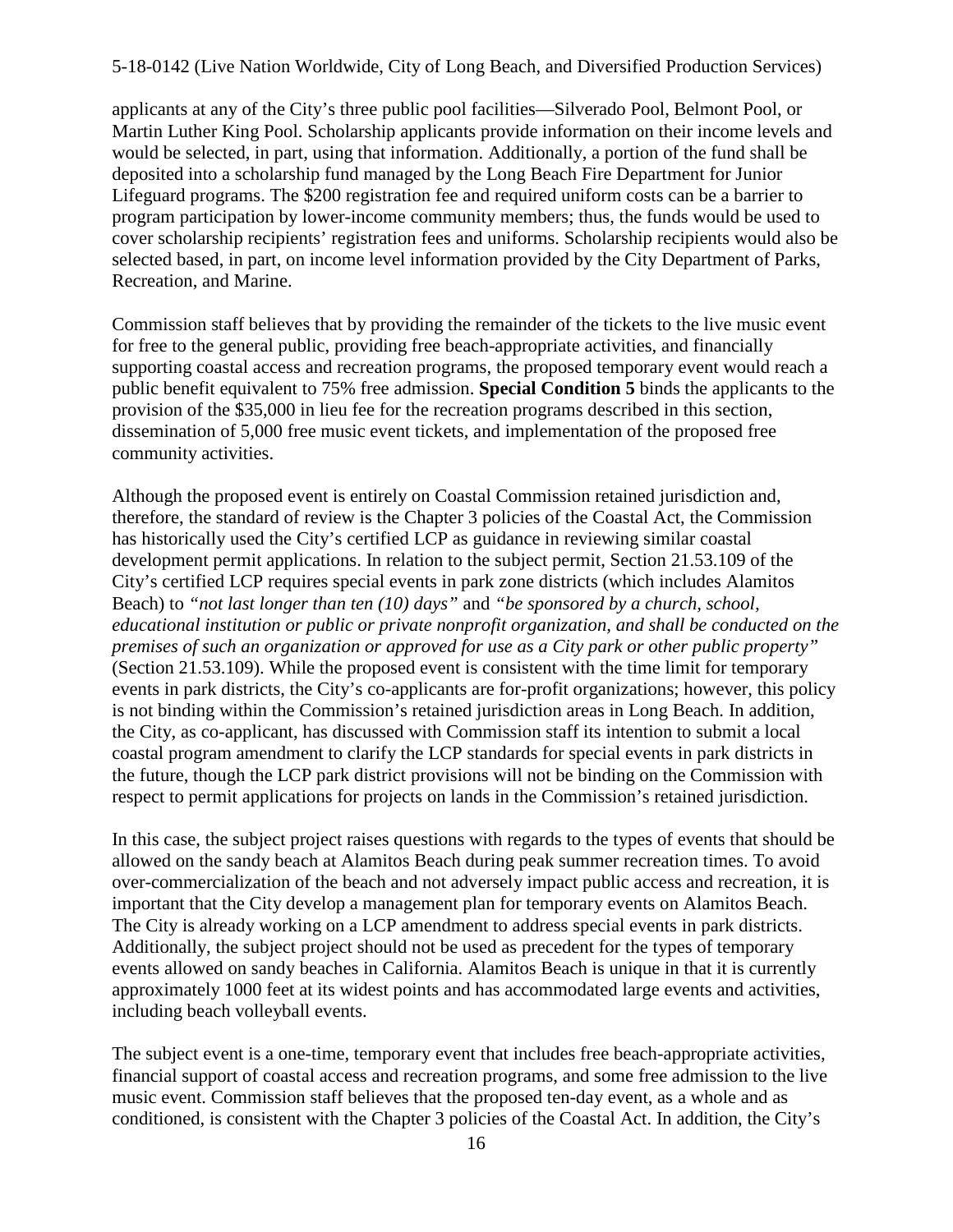applicants at any of the City's three public pool facilities—Silverado Pool, Belmont Pool, or Martin Luther King Pool. Scholarship applicants provide information on their income levels and would be selected, in part, using that information. Additionally, a portion of the fund shall be deposited into a scholarship fund managed by the Long Beach Fire Department for Junior Lifeguard programs. The \$200 registration fee and required uniform costs can be a barrier to program participation by lower-income community members; thus, the funds would be used to cover scholarship recipients' registration fees and uniforms. Scholarship recipients would also be selected based, in part, on income level information provided by the City Department of Parks, Recreation, and Marine.

Commission staff believes that by providing the remainder of the tickets to the live music event for free to the general public, providing free beach-appropriate activities, and financially supporting coastal access and recreation programs, the proposed temporary event would reach a public benefit equivalent to 75% free admission. **Special Condition 5** binds the applicants to the provision of the \$35,000 in lieu fee for the recreation programs described in this section, dissemination of 5,000 free music event tickets, and implementation of the proposed free community activities.

Although the proposed event is entirely on Coastal Commission retained jurisdiction and, therefore, the standard of review is the Chapter 3 policies of the Coastal Act, the Commission has historically used the City's certified LCP as guidance in reviewing similar coastal development permit applications. In relation to the subject permit, Section 21.53.109 of the City's certified LCP requires special events in park zone districts (which includes Alamitos Beach) to *"not last longer than ten (10) days"* and *"be sponsored by a church, school, educational institution or public or private nonprofit organization, and shall be conducted on the premises of such an organization or approved for use as a City park or other public property"* (Section 21.53.109). While the proposed event is consistent with the time limit for temporary events in park districts, the City's co-applicants are for-profit organizations; however, this policy is not binding within the Commission's retained jurisdiction areas in Long Beach. In addition, the City, as co-applicant, has discussed with Commission staff its intention to submit a local coastal program amendment to clarify the LCP standards for special events in park districts in the future, though the LCP park district provisions will not be binding on the Commission with respect to permit applications for projects on lands in the Commission's retained jurisdiction.

In this case, the subject project raises questions with regards to the types of events that should be allowed on the sandy beach at Alamitos Beach during peak summer recreation times. To avoid over-commercialization of the beach and not adversely impact public access and recreation, it is important that the City develop a management plan for temporary events on Alamitos Beach. The City is already working on a LCP amendment to address special events in park districts. Additionally, the subject project should not be used as precedent for the types of temporary events allowed on sandy beaches in California. Alamitos Beach is unique in that it is currently approximately 1000 feet at its widest points and has accommodated large events and activities, including beach volleyball events.

The subject event is a one-time, temporary event that includes free beach-appropriate activities, financial support of coastal access and recreation programs, and some free admission to the live music event. Commission staff believes that the proposed ten-day event, as a whole and as conditioned, is consistent with the Chapter 3 policies of the Coastal Act. In addition, the City's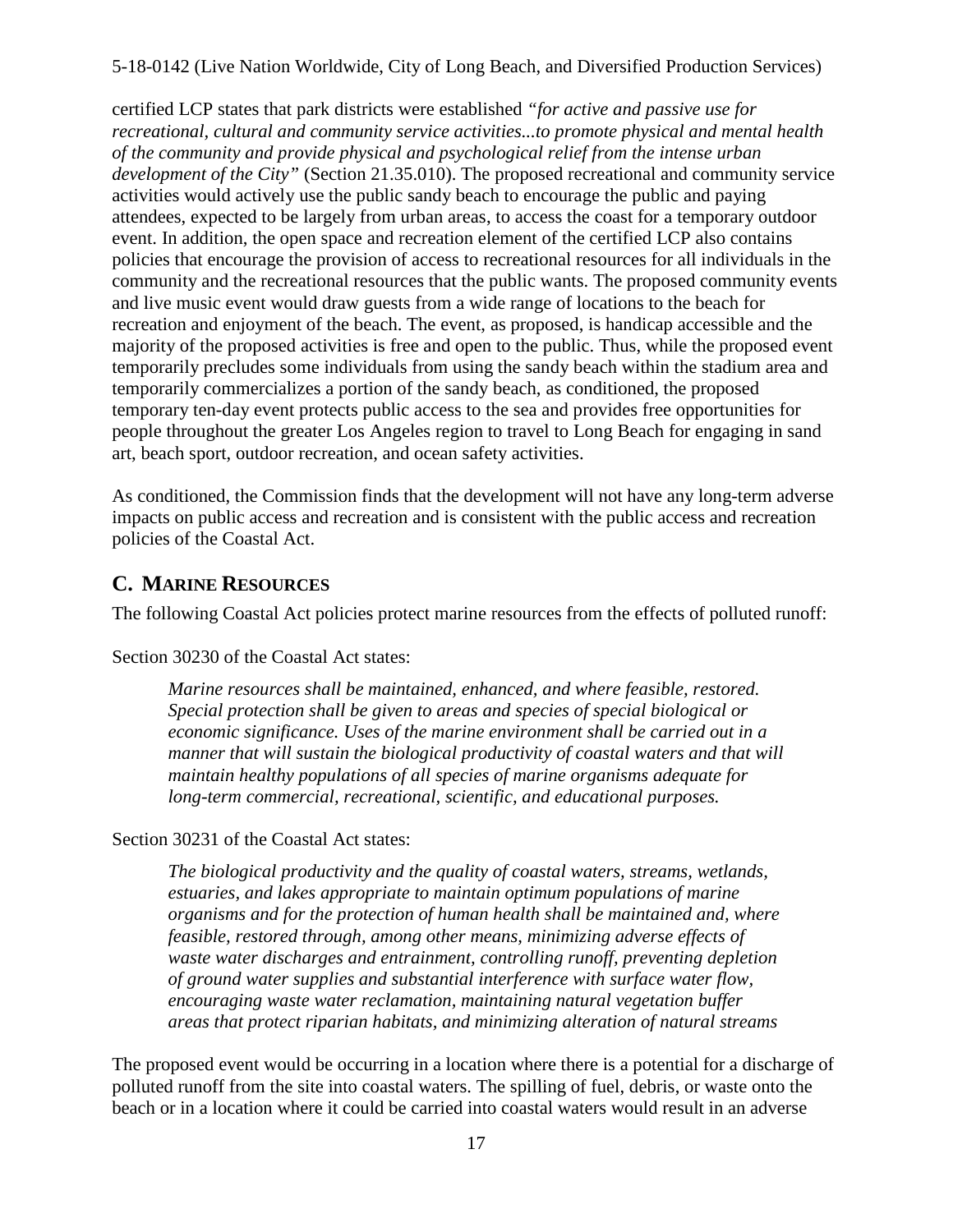certified LCP states that park districts were established *"for active and passive use for recreational, cultural and community service activities...to promote physical and mental health of the community and provide physical and psychological relief from the intense urban development of the City"* (Section 21.35.010). The proposed recreational and community service activities would actively use the public sandy beach to encourage the public and paying attendees, expected to be largely from urban areas, to access the coast for a temporary outdoor event. In addition, the open space and recreation element of the certified LCP also contains policies that encourage the provision of access to recreational resources for all individuals in the community and the recreational resources that the public wants. The proposed community events and live music event would draw guests from a wide range of locations to the beach for recreation and enjoyment of the beach. The event, as proposed, is handicap accessible and the majority of the proposed activities is free and open to the public. Thus, while the proposed event temporarily precludes some individuals from using the sandy beach within the stadium area and temporarily commercializes a portion of the sandy beach, as conditioned, the proposed temporary ten-day event protects public access to the sea and provides free opportunities for people throughout the greater Los Angeles region to travel to Long Beach for engaging in sand art, beach sport, outdoor recreation, and ocean safety activities.

As conditioned, the Commission finds that the development will not have any long-term adverse impacts on public access and recreation and is consistent with the public access and recreation policies of the Coastal Act.

## <span id="page-16-0"></span>**C. MARINE RESOURCES**

The following Coastal Act policies protect marine resources from the effects of polluted runoff:

Section 30230 of the Coastal Act states:

*Marine resources shall be maintained, enhanced, and where feasible, restored. Special protection shall be given to areas and species of special biological or economic significance. Uses of the marine environment shall be carried out in a manner that will sustain the biological productivity of coastal waters and that will maintain healthy populations of all species of marine organisms adequate for long-term commercial, recreational, scientific, and educational purposes.* 

Section 30231 of the Coastal Act states:

*The biological productivity and the quality of coastal waters, streams, wetlands, estuaries, and lakes appropriate to maintain optimum populations of marine organisms and for the protection of human health shall be maintained and, where feasible, restored through, among other means, minimizing adverse effects of waste water discharges and entrainment, controlling runoff, preventing depletion of ground water supplies and substantial interference with surface water flow, encouraging waste water reclamation, maintaining natural vegetation buffer areas that protect riparian habitats, and minimizing alteration of natural streams* 

The proposed event would be occurring in a location where there is a potential for a discharge of polluted runoff from the site into coastal waters. The spilling of fuel, debris, or waste onto the beach or in a location where it could be carried into coastal waters would result in an adverse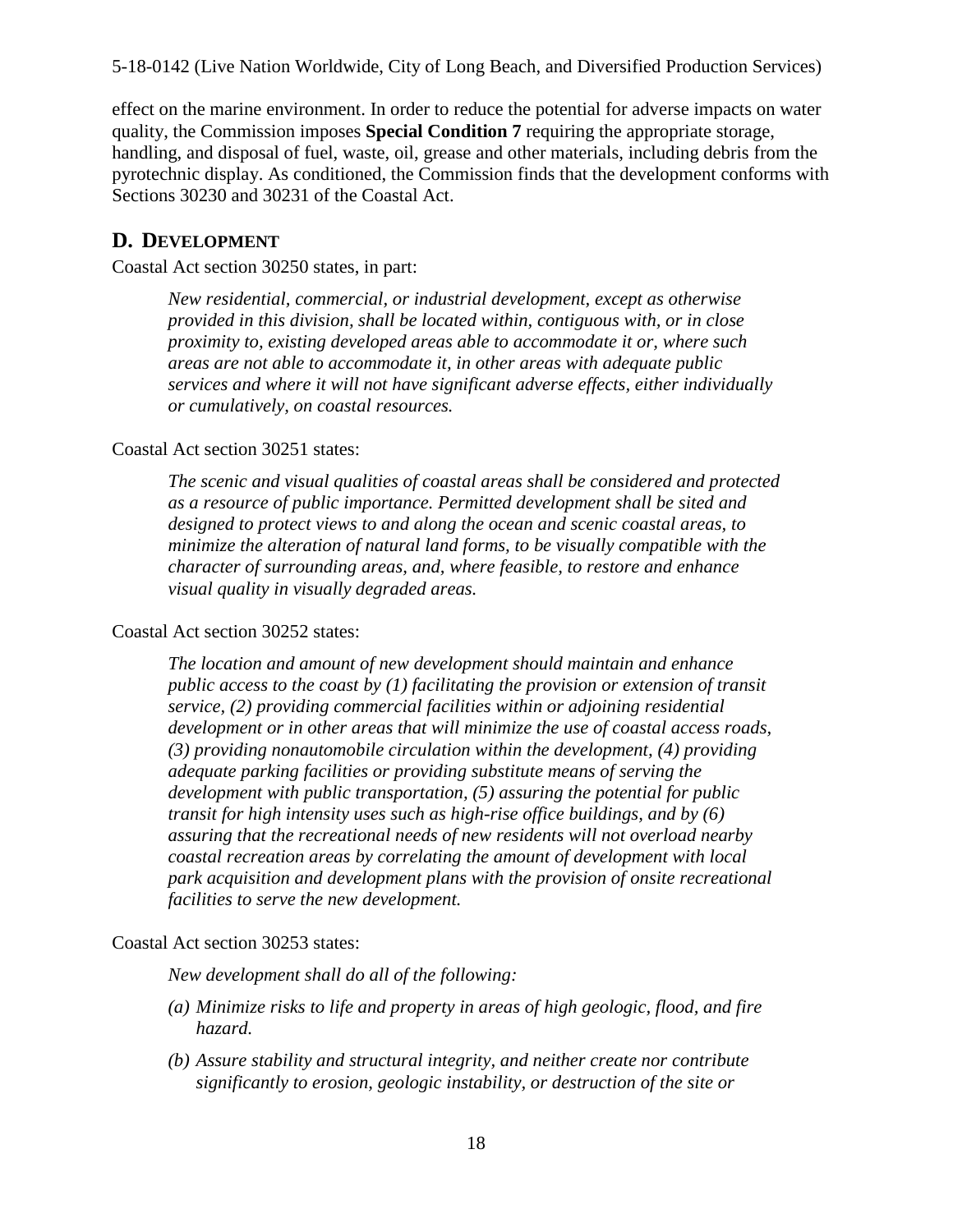effect on the marine environment. In order to reduce the potential for adverse impacts on water quality, the Commission imposes **Special Condition 7** requiring the appropriate storage, handling, and disposal of fuel, waste, oil, grease and other materials, including debris from the pyrotechnic display. As conditioned, the Commission finds that the development conforms with Sections 30230 and 30231 of the Coastal Act.

### <span id="page-17-0"></span>**D. DEVELOPMENT**

Coastal Act section 30250 states, in part:

*New residential, commercial, or industrial development, except as otherwise provided in this division, shall be located within, contiguous with, or in close proximity to, existing developed areas able to accommodate it or, where such areas are not able to accommodate it, in other areas with adequate public services and where it will not have significant adverse effects, either individually or cumulatively, on coastal resources.* 

#### Coastal Act section 30251 states:

*The scenic and visual qualities of coastal areas shall be considered and protected as a resource of public importance. Permitted development shall be sited and designed to protect views to and along the ocean and scenic coastal areas, to minimize the alteration of natural land forms, to be visually compatible with the character of surrounding areas, and, where feasible, to restore and enhance visual quality in visually degraded areas.* 

#### Coastal Act section 30252 states:

*The location and amount of new development should maintain and enhance public access to the coast by (1) facilitating the provision or extension of transit service, (2) providing commercial facilities within or adjoining residential development or in other areas that will minimize the use of coastal access roads, (3) providing nonautomobile circulation within the development, (4) providing adequate parking facilities or providing substitute means of serving the development with public transportation, (5) assuring the potential for public transit for high intensity uses such as high-rise office buildings, and by (6) assuring that the recreational needs of new residents will not overload nearby coastal recreation areas by correlating the amount of development with local park acquisition and development plans with the provision of onsite recreational facilities to serve the new development.*

#### Coastal Act section 30253 states:

*New development shall do all of the following:* 

- *(a) Minimize risks to life and property in areas of high geologic, flood, and fire hazard.*
- *(b) Assure stability and structural integrity, and neither create nor contribute significantly to erosion, geologic instability, or destruction of the site or*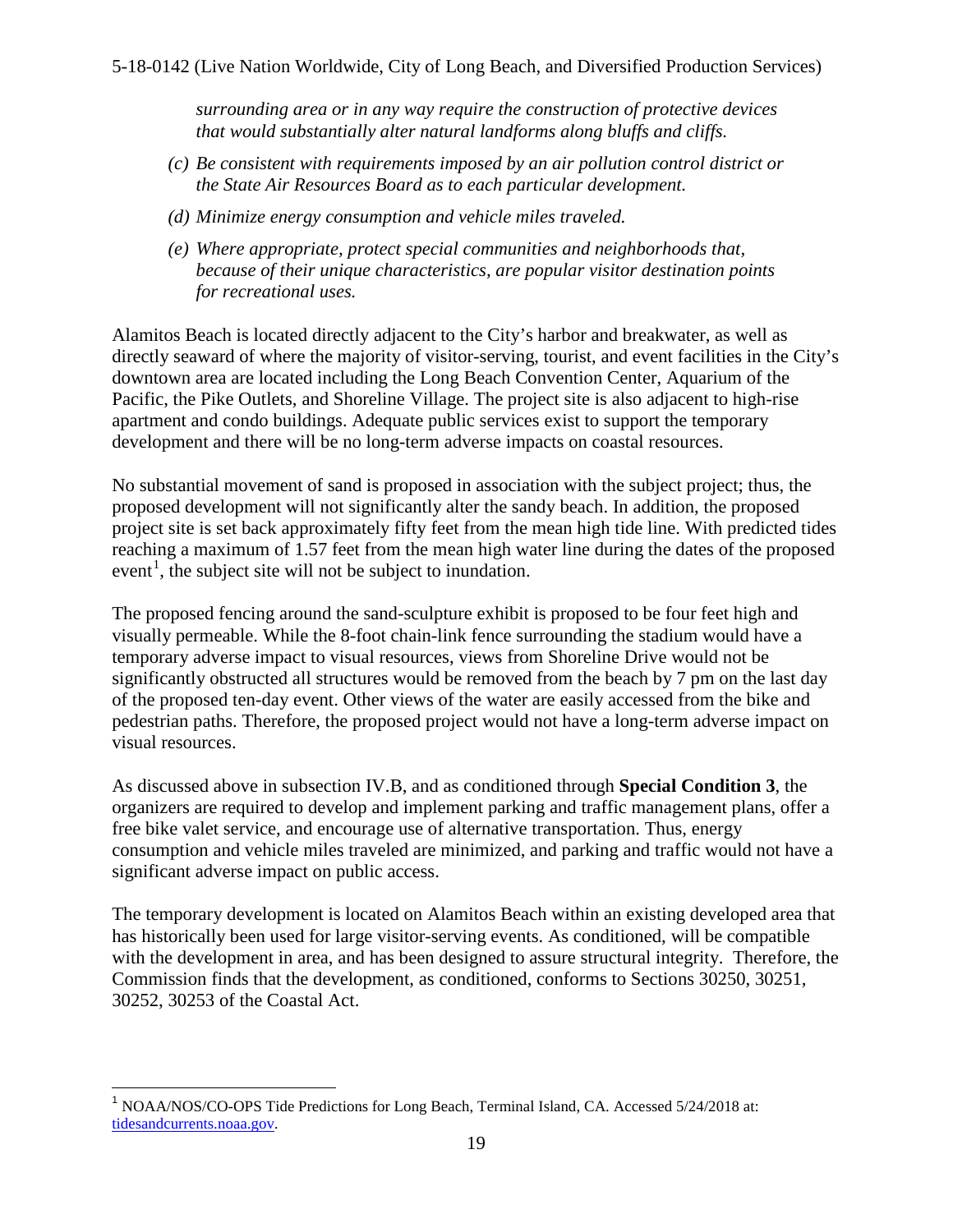*surrounding area or in any way require the construction of protective devices that would substantially alter natural landforms along bluffs and cliffs.* 

- *(c) Be consistent with requirements imposed by an air pollution control district or the State Air Resources Board as to each particular development.*
- *(d) Minimize energy consumption and vehicle miles traveled.*
- *(e) Where appropriate, protect special communities and neighborhoods that, because of their unique characteristics, are popular visitor destination points for recreational uses.*

Alamitos Beach is located directly adjacent to the City's harbor and breakwater, as well as directly seaward of where the majority of visitor-serving, tourist, and event facilities in the City's downtown area are located including the Long Beach Convention Center, Aquarium of the Pacific, the Pike Outlets, and Shoreline Village. The project site is also adjacent to high-rise apartment and condo buildings. Adequate public services exist to support the temporary development and there will be no long-term adverse impacts on coastal resources.

No substantial movement of sand is proposed in association with the subject project; thus, the proposed development will not significantly alter the sandy beach. In addition, the proposed project site is set back approximately fifty feet from the mean high tide line. With predicted tides reaching a maximum of 1.57 feet from the mean high water line during the dates of the proposed event<sup>[1](#page-18-1)</sup>, the subject site will not be subject to inundation.

The proposed fencing around the sand-sculpture exhibit is proposed to be four feet high and visually permeable. While the 8-foot chain-link fence surrounding the stadium would have a temporary adverse impact to visual resources, views from Shoreline Drive would not be significantly obstructed all structures would be removed from the beach by 7 pm on the last day of the proposed ten-day event. Other views of the water are easily accessed from the bike and pedestrian paths. Therefore, the proposed project would not have a long-term adverse impact on visual resources.

As discussed above in subsection IV.B, and as conditioned through **Special Condition 3**, the organizers are required to develop and implement parking and traffic management plans, offer a free bike valet service, and encourage use of alternative transportation. Thus, energy consumption and vehicle miles traveled are minimized, and parking and traffic would not have a significant adverse impact on public access.

<span id="page-18-0"></span>The temporary development is located on Alamitos Beach within an existing developed area that has historically been used for large visitor-serving events. As conditioned, will be compatible with the development in area, and has been designed to assure structural integrity. Therefore, the Commission finds that the development, as conditioned, conforms to Sections 30250, 30251, 30252, 30253 of the Coastal Act.

<span id="page-18-1"></span> $\overline{\phantom{a}}$ <sup>1</sup> NOAA/NOS/CO-OPS Tide Predictions for Long Beach, Terminal Island, CA. Accessed 5/24/2018 at: [tidesandcurrents.noaa.gov.](https://tidesandcurrents.noaa.gov/noaatidepredictions.html?id=9410680&units=standard&bdate=20180715&edate=20180724&timezone=LST/LDT&clock=12hour&datum=MHHW&interval=hilo&action=dailychart)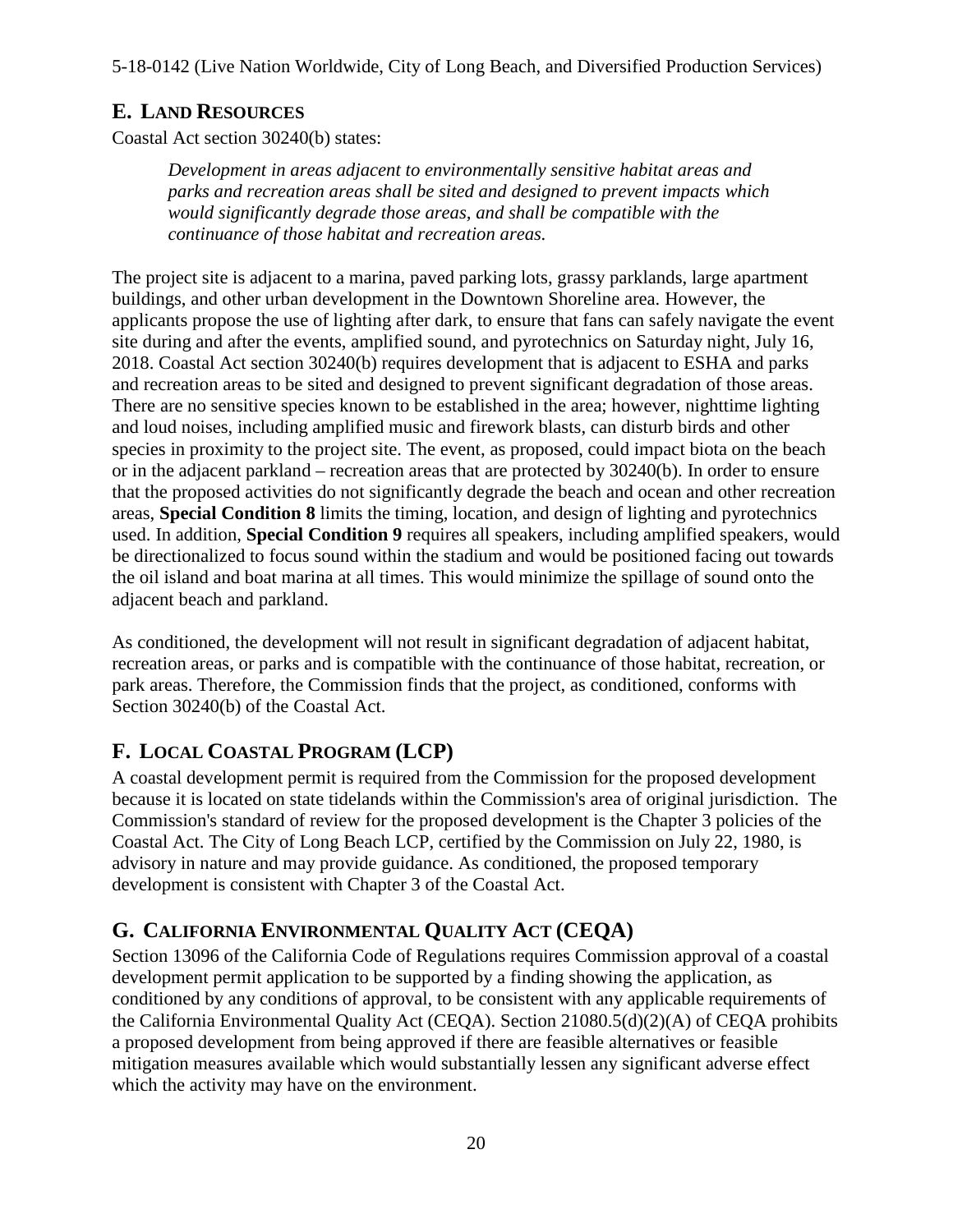## **E. LAND RESOURCES**

Coastal Act section 30240(b) states:

*Development in areas adjacent to environmentally sensitive habitat areas and parks and recreation areas shall be sited and designed to prevent impacts which would significantly degrade those areas, and shall be compatible with the continuance of those habitat and recreation areas.* 

The project site is adjacent to a marina, paved parking lots, grassy parklands, large apartment buildings, and other urban development in the Downtown Shoreline area. However, the applicants propose the use of lighting after dark, to ensure that fans can safely navigate the event site during and after the events, amplified sound, and pyrotechnics on Saturday night, July 16, 2018. Coastal Act section 30240(b) requires development that is adjacent to ESHA and parks and recreation areas to be sited and designed to prevent significant degradation of those areas. There are no sensitive species known to be established in the area; however, nighttime lighting and loud noises, including amplified music and firework blasts, can disturb birds and other species in proximity to the project site. The event, as proposed, could impact biota on the beach or in the adjacent parkland – recreation areas that are protected by 30240(b). In order to ensure that the proposed activities do not significantly degrade the beach and ocean and other recreation areas, **Special Condition 8** limits the timing, location, and design of lighting and pyrotechnics used. In addition, **Special Condition 9** requires all speakers, including amplified speakers, would be directionalized to focus sound within the stadium and would be positioned facing out towards the oil island and boat marina at all times. This would minimize the spillage of sound onto the adjacent beach and parkland.

As conditioned, the development will not result in significant degradation of adjacent habitat, recreation areas, or parks and is compatible with the continuance of those habitat, recreation, or park areas. Therefore, the Commission finds that the project, as conditioned, conforms with Section 30240(b) of the Coastal Act.

## <span id="page-19-0"></span>**F. LOCAL COASTAL PROGRAM (LCP)**

A coastal development permit is required from the Commission for the proposed development because it is located on state tidelands within the Commission's area of original jurisdiction. The Commission's standard of review for the proposed development is the Chapter 3 policies of the Coastal Act. The City of Long Beach LCP, certified by the Commission on July 22, 1980, is advisory in nature and may provide guidance. As conditioned, the proposed temporary development is consistent with Chapter 3 of the Coastal Act.

## <span id="page-19-1"></span>**G. CALIFORNIA ENVIRONMENTAL QUALITY ACT (CEQA)**

Section 13096 of the California Code of Regulations requires Commission approval of a coastal development permit application to be supported by a finding showing the application, as conditioned by any conditions of approval, to be consistent with any applicable requirements of the California Environmental Quality Act (CEQA). Section 21080.5(d)(2)(A) of CEQA prohibits a proposed development from being approved if there are feasible alternatives or feasible mitigation measures available which would substantially lessen any significant adverse effect which the activity may have on the environment.